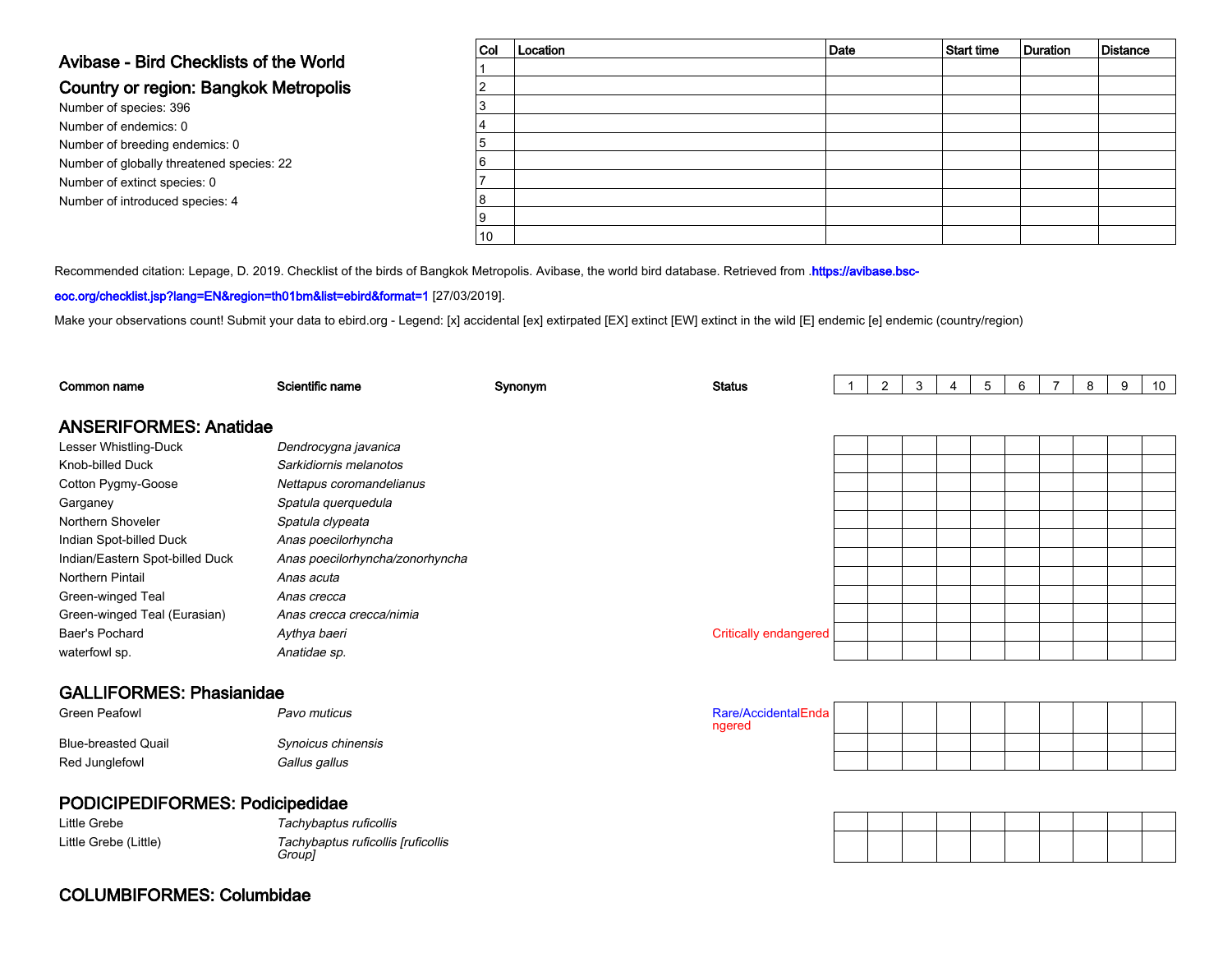### Avibase - Bird Checklists of the World

#### Country or region: Bangkok Metropolis

Number of species: 396 Number of endemics: 0 Number of breeding endemics: 0 Number of globally threatened species: 22Number of extinct species: 0Number of introduced species: 4

| <sub>Col</sub> | Location | Date | Start time | Duration | Distance |
|----------------|----------|------|------------|----------|----------|
|                |          |      |            |          |          |
| $\overline{2}$ |          |      |            |          |          |
| 3              |          |      |            |          |          |
| 4              |          |      |            |          |          |
| 5              |          |      |            |          |          |
| 6              |          |      |            |          |          |
| 7              |          |      |            |          |          |
| 8              |          |      |            |          |          |
| 9              |          |      |            |          |          |
| 10             |          |      |            |          |          |

Recommended citation: Lepage, D. 2019. Checklist of the birds of Bangkok Metropolis. Avibase, the world bird database. Retrieved from .[https://avibase.bsc-](https://avibase.bsc-eoc.org/checklist.jsp?lang=EN®ion=th01bm&list=ebird&format=1)

#### [eoc.org/checklist.jsp?lang=EN&region=th01bm&list=ebird&format=1](https://avibase.bsc-eoc.org/checklist.jsp?lang=EN®ion=th01bm&list=ebird&format=1) [27/03/2019].

Make your observations count! Submit your data to [ebird.org](https://ebird.org) - Legend: [x] accidental [ex] extirpated [EX] extinct [EW] extinct in the wild [E] endemic [e] endemic (country/region)

| Common name                     | Scientific name                              | Synonym | <b>Status</b>                 | $\mathbf{2}^{\circ}$ | 3 | 4 | 5 | 6 | 7 | 8 | 9 | 10 <sup>°</sup> |
|---------------------------------|----------------------------------------------|---------|-------------------------------|----------------------|---|---|---|---|---|---|---|-----------------|
| <b>ANSERIFORMES: Anatidae</b>   |                                              |         |                               |                      |   |   |   |   |   |   |   |                 |
| Lesser Whistling-Duck           | Dendrocygna javanica                         |         |                               |                      |   |   |   |   |   |   |   |                 |
| Knob-billed Duck                | Sarkidiornis melanotos                       |         |                               |                      |   |   |   |   |   |   |   |                 |
| Cotton Pygmy-Goose              | Nettapus coromandelianus                     |         |                               |                      |   |   |   |   |   |   |   |                 |
| Garganey                        | Spatula querquedula                          |         |                               |                      |   |   |   |   |   |   |   |                 |
| Northern Shoveler               | Spatula clypeata                             |         |                               |                      |   |   |   |   |   |   |   |                 |
| Indian Spot-billed Duck         | Anas poecilorhyncha                          |         |                               |                      |   |   |   |   |   |   |   |                 |
| Indian/Eastern Spot-billed Duck | Anas poecilorhyncha/zonorhyncha              |         |                               |                      |   |   |   |   |   |   |   |                 |
| Northern Pintail                | Anas acuta                                   |         |                               |                      |   |   |   |   |   |   |   |                 |
| Green-winged Teal               | Anas crecca                                  |         |                               |                      |   |   |   |   |   |   |   |                 |
| Green-winged Teal (Eurasian)    | Anas crecca crecca/nimia                     |         |                               |                      |   |   |   |   |   |   |   |                 |
| Baer's Pochard                  | Aythya baeri                                 |         | <b>Critically endangered</b>  |                      |   |   |   |   |   |   |   |                 |
| waterfowl sp.                   | Anatidae sp.                                 |         |                               |                      |   |   |   |   |   |   |   |                 |
| <b>GALLIFORMES: Phasianidae</b> |                                              |         |                               |                      |   |   |   |   |   |   |   |                 |
| <b>Green Peafowl</b>            | Pavo muticus                                 |         | Rare/AccidentalEnda<br>ngered |                      |   |   |   |   |   |   |   |                 |
| <b>Blue-breasted Quail</b>      | Synoicus chinensis                           |         |                               |                      |   |   |   |   |   |   |   |                 |
| Red Junglefowl                  | Gallus gallus                                |         |                               |                      |   |   |   |   |   |   |   |                 |
|                                 |                                              |         |                               |                      |   |   |   |   |   |   |   |                 |
| PODICIPEDIFORMES: Podicipedidae |                                              |         |                               |                      |   |   |   |   |   |   |   |                 |
| Little Grebe                    | Tachybaptus ruficollis                       |         |                               |                      |   |   |   |   |   |   |   |                 |
| Little Grebe (Little)           | Tachybaptus ruficollis [ruficollis<br>Group] |         |                               |                      |   |   |   |   |   |   |   |                 |
|                                 |                                              |         |                               |                      |   |   |   |   |   |   |   |                 |

### COLUMBIFORMES: Columbidae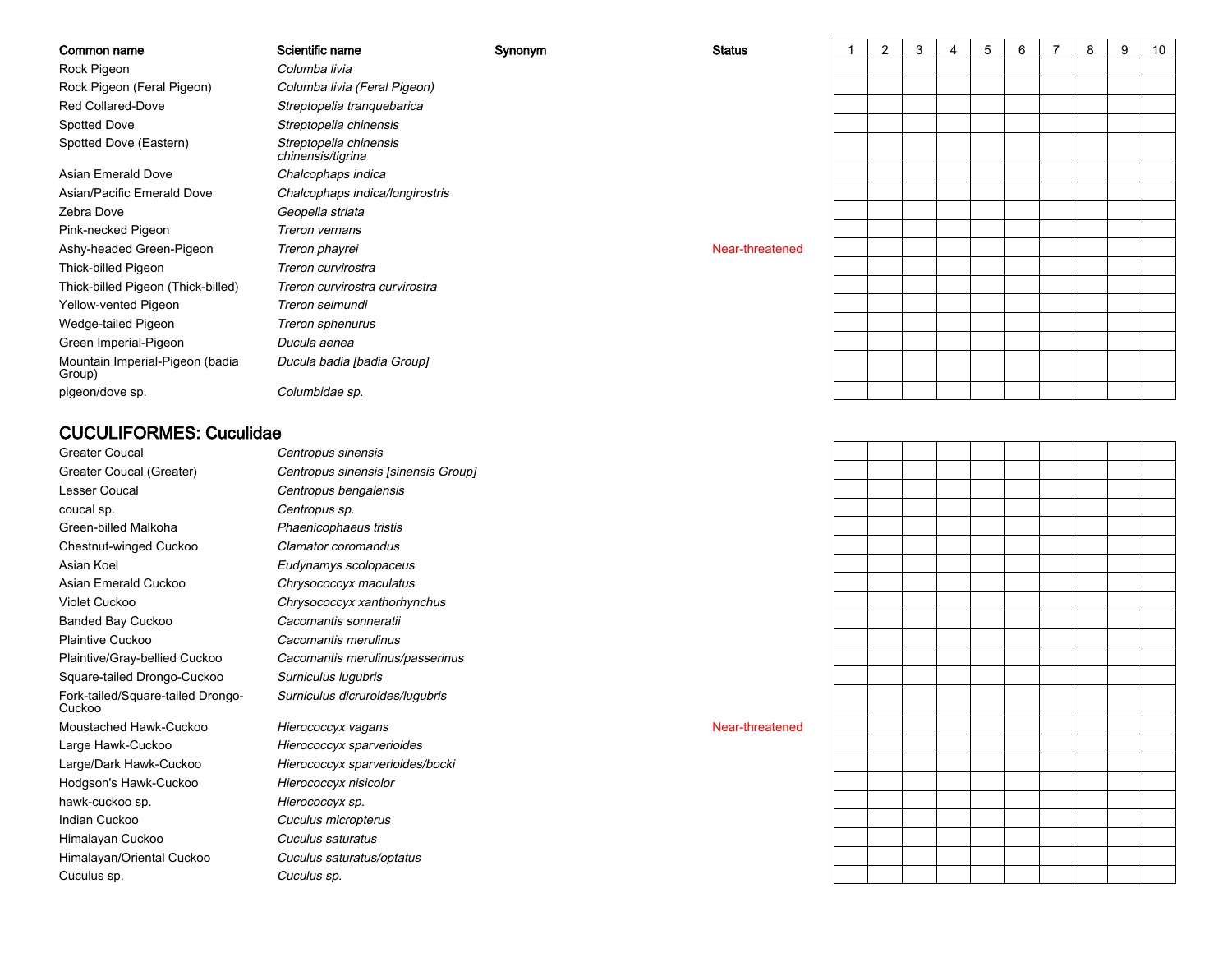| Common name                               | Scientific name                             | Synonym | <b>Status</b>   | $\overline{2}$ | 3 | 4 | 5 | 6 | 8 | 9 | 10 |
|-------------------------------------------|---------------------------------------------|---------|-----------------|----------------|---|---|---|---|---|---|----|
| Rock Pigeon                               | Columba livia                               |         |                 |                |   |   |   |   |   |   |    |
| Rock Pigeon (Feral Pigeon)                | Columba livia (Feral Pigeon)                |         |                 |                |   |   |   |   |   |   |    |
| Red Collared-Dove                         | Streptopelia tranquebarica                  |         |                 |                |   |   |   |   |   |   |    |
| Spotted Dove                              | Streptopelia chinensis                      |         |                 |                |   |   |   |   |   |   |    |
| Spotted Dove (Eastern)                    | Streptopelia chinensis<br>chinensis/tigrina |         |                 |                |   |   |   |   |   |   |    |
| Asian Emerald Dove                        | Chalcophaps indica                          |         |                 |                |   |   |   |   |   |   |    |
| Asian/Pacific Emerald Dove                | Chalcophaps indica/longirostris             |         |                 |                |   |   |   |   |   |   |    |
| Zebra Dove                                | Geopelia striata                            |         |                 |                |   |   |   |   |   |   |    |
| Pink-necked Pigeon                        | Treron vernans                              |         |                 |                |   |   |   |   |   |   |    |
| Ashy-headed Green-Pigeon                  | Treron phayrei                              |         | Near-threatened |                |   |   |   |   |   |   |    |
| Thick-billed Pigeon                       | Treron curvirostra                          |         |                 |                |   |   |   |   |   |   |    |
| Thick-billed Pigeon (Thick-billed)        | Treron curvirostra curvirostra              |         |                 |                |   |   |   |   |   |   |    |
| Yellow-vented Pigeon                      | Treron seimundi                             |         |                 |                |   |   |   |   |   |   |    |
| Wedge-tailed Pigeon                       | Treron sphenurus                            |         |                 |                |   |   |   |   |   |   |    |
| Green Imperial-Pigeon                     | Ducula aenea                                |         |                 |                |   |   |   |   |   |   |    |
| Mountain Imperial-Pigeon (badia<br>Group) | Ducula badia [badia Group]                  |         |                 |                |   |   |   |   |   |   |    |
| pigeon/dove sp.                           | Columbidae sp.                              |         |                 |                |   |   |   |   |   |   |    |
|                                           |                                             |         |                 |                |   |   |   |   |   |   |    |

### CUCULIFORMES: Cuculidae

Greater CoucalGreater Coucal (Greater)Lesser Coucalcoucal sp.Green-billed MalkohaChestnut-winged CuckooAsian KoelAsian Emerald CuckooViolet CuckooBanded Bay CuckooPlaintive CuckooPlaintive/Gray-bellied CuckooSquare-tailed Drongo-CuckooFork-tailed/Square-tailed Drongo-CuckooMoustached Hawk-CuckooLarge Hawk-CuckooLarge/Dark Hawk-CuckooHodgson's Hawk-Cuckoohawk-cuckoo sp.Indian CuckooHimalayan CuckooHimalayan/Oriental CuckooCuculus sp.

 Centropus sinensis Centropus sinensis [sinensis Group] Centropus bengalensis Centropus sp. Phaenicophaeus tristis Clamator coromandus Eudynamys scolopaceuso Chrysococcyx maculatus Chrysococcyx xanthorhynchus Cacomantis sonneratii Cacomantis merulinus Cacomantis merulinus/passerinus Surniculus lugubris Surniculus dicruroides/lugubris

> Hierococcyx vagans **Near-threatened** Near-threatened Hierococcyx sparverioides Hierococcyx sparverioides/bocki Hierococcyx nisicolor Hierococcyx sp. Cuculus micropterus Cuculus saturatus Cuculus saturatus/optatus Cuculus sp.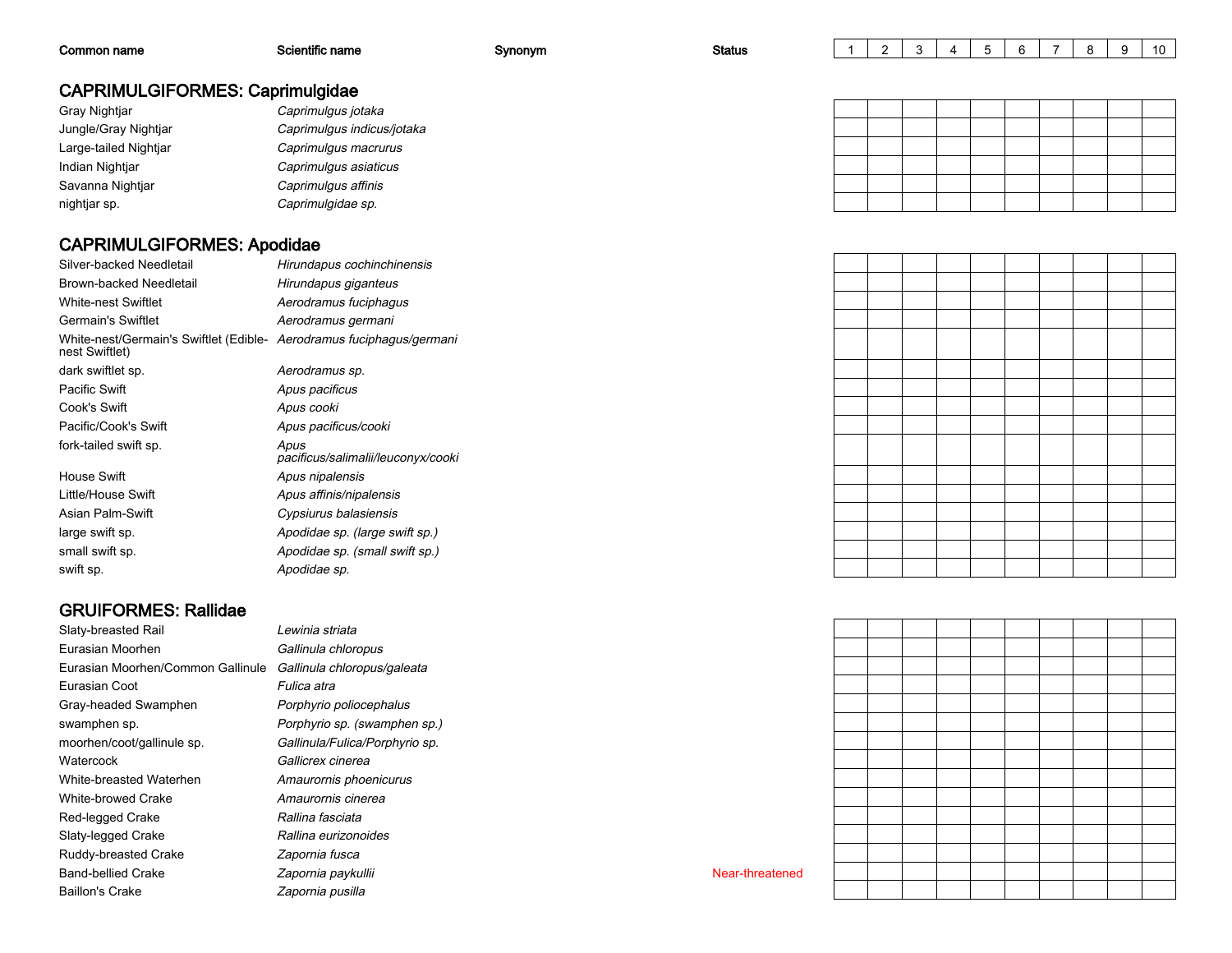| Common name                            | Scientific name            | Synonym | <b>Status</b> | ⌒ |  |  |  | -9 | 10 |
|----------------------------------------|----------------------------|---------|---------------|---|--|--|--|----|----|
| <b>CAPRIMULGIFORMES: Caprimulgidae</b> |                            |         |               |   |  |  |  |    |    |
| Gray Nightjar                          | Caprimulgus jotaka         |         |               |   |  |  |  |    |    |
| Jungle/Gray Nightjar                   | Caprimulgus indicus/jotaka |         |               |   |  |  |  |    |    |
| Large-tailed Nightjar                  | Caprimulgus macrurus       |         |               |   |  |  |  |    |    |
| Indian Nightjar                        | Caprimulgus asiaticus      |         |               |   |  |  |  |    |    |
| Savanna Nightjar                       | Caprimulgus affinis        |         |               |   |  |  |  |    |    |
| nightjar sp.                           | Caprimulgidae sp.          |         |               |   |  |  |  |    |    |

#### CAPRIMULGIFORMES: Apodidae

| Silver-backed Needletail                                                               | Hirundapus cochinchinensis                 |
|----------------------------------------------------------------------------------------|--------------------------------------------|
| Brown-backed Needletail                                                                | Hirundapus giganteus                       |
| White-nest Swiftlet                                                                    | Aerodramus fuciphagus                      |
| Germain's Swiftlet                                                                     | Aerodramus germani                         |
| White-nest/Germain's Swiftlet (Edible- Aerodramus fuciphagus/germani<br>nest Swiftlet) |                                            |
| dark swiftlet sp.                                                                      | Aerodramus sp.                             |
| Pacific Swift                                                                          | Apus pacificus                             |
| Cook's Swift                                                                           | Apus cooki                                 |
| Pacific/Cook's Swift                                                                   | Apus pacificus/cooki                       |
| fork-tailed swift sp.                                                                  | Apus<br>pacificus/salimalii/leuconyx/cooki |
| House Swift                                                                            | Apus nipalensis                            |
| Little/House Swift                                                                     | Apus affinis/nipalensis                    |
| Asian Palm-Swift                                                                       | Cypsiurus balasiensis                      |
| large swift sp.                                                                        | Apodidae sp. (large swift sp.)             |
| small swift sp.                                                                        | Apodidae sp. (small swift sp.)             |
| swift sp.                                                                              | Apodidae sp.                               |

### GRUIFORMES: Rallidae

Slaty-breasted Railn Gallinula chloropus Eurasian MoorhenEurasian Moorhen/Common GallinuleEurasian CootGray-headed Swamphenswamphen sp.moorhen/coot/gallinule sp.**Watercock** White-breasted WaterhenWhite-browed CrakeRed-legged CrakeSlaty-legged CrakeRuddy-breasted CrakeBand-bellied CrakeBaillon's Crake

 Lewinia striata Gallinula chloropus/galeata Fulica atra Porphyrio poliocephalus Porphyrio sp. (swamphen sp.) Gallinula/Fulica/Porphyrio sp. Gallicrex cinerea Amaurornis phoenicurus Amaurornis cinerea Rallina fasciata Rallina eurizonoides Zapornia fusca Zapornia paykullii Near-threatened Zapornia pusilla

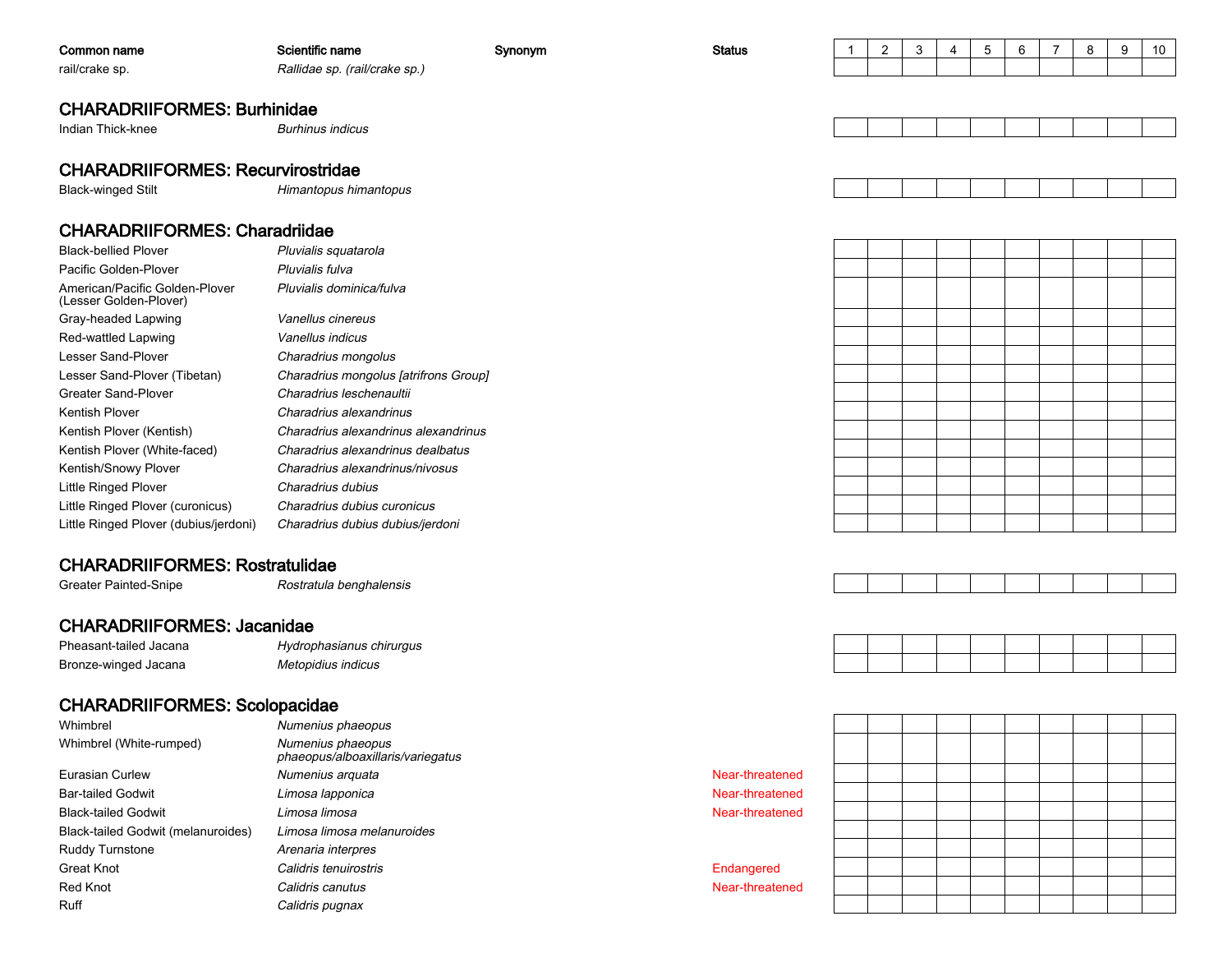| Common name                                              | Scientific name                       | Synonym | <b>Status</b> | $\mathbf{1}$ | $\mathbf{2}$ | 3 | 4 | 5 | 6 | $\overline{7}$ | 8 | 9 | 10 |
|----------------------------------------------------------|---------------------------------------|---------|---------------|--------------|--------------|---|---|---|---|----------------|---|---|----|
| rail/crake sp.                                           | Rallidae sp. (rail/crake sp.)         |         |               |              |              |   |   |   |   |                |   |   |    |
|                                                          |                                       |         |               |              |              |   |   |   |   |                |   |   |    |
| <b>CHARADRIIFORMES: Burhinidae</b>                       |                                       |         |               |              |              |   |   |   |   |                |   |   |    |
| Indian Thick-knee                                        | <b>Burhinus indicus</b>               |         |               |              |              |   |   |   |   |                |   |   |    |
|                                                          |                                       |         |               |              |              |   |   |   |   |                |   |   |    |
| <b>CHARADRIIFORMES: Recurvirostridae</b>                 |                                       |         |               |              |              |   |   |   |   |                |   |   |    |
| <b>Black-winged Stilt</b>                                | Himantopus himantopus                 |         |               |              |              |   |   |   |   |                |   |   |    |
|                                                          |                                       |         |               |              |              |   |   |   |   |                |   |   |    |
| <b>CHARADRIIFORMES: Charadriidae</b>                     |                                       |         |               |              |              |   |   |   |   |                |   |   |    |
| <b>Black-bellied Plover</b>                              | Pluvialis squatarola                  |         |               |              |              |   |   |   |   |                |   |   |    |
| Pacific Golden-Plover                                    | Pluvialis fulva                       |         |               |              |              |   |   |   |   |                |   |   |    |
| American/Pacific Golden-Plover<br>(Lesser Golden-Plover) | Pluvialis dominica/fulva              |         |               |              |              |   |   |   |   |                |   |   |    |
| Gray-headed Lapwing                                      | Vanellus cinereus                     |         |               |              |              |   |   |   |   |                |   |   |    |
| Red-wattled Lapwing                                      | Vanellus indicus                      |         |               |              |              |   |   |   |   |                |   |   |    |
| Lesser Sand-Plover                                       | Charadrius mongolus                   |         |               |              |              |   |   |   |   |                |   |   |    |
| Lesser Sand-Plover (Tibetan)                             | Charadrius mongolus [atrifrons Group] |         |               |              |              |   |   |   |   |                |   |   |    |
| <b>Greater Sand-Plover</b>                               | Charadrius leschenaultii              |         |               |              |              |   |   |   |   |                |   |   |    |
| Kentish Plover                                           | Charadrius alexandrinus               |         |               |              |              |   |   |   |   |                |   |   |    |
| Kentish Plover (Kentish)                                 | Charadrius alexandrinus alexandrinus  |         |               |              |              |   |   |   |   |                |   |   |    |
| Kentish Plover (White-faced)                             | Charadrius alexandrinus dealbatus     |         |               |              |              |   |   |   |   |                |   |   |    |
| Kentish/Snowy Plover                                     | Charadrius alexandrinus/nivosus       |         |               |              |              |   |   |   |   |                |   |   |    |
| Little Ringed Plover                                     | Charadrius dubius                     |         |               |              |              |   |   |   |   |                |   |   |    |
| Little Ringed Plover (curonicus)                         | Charadrius dubius curonicus           |         |               |              |              |   |   |   |   |                |   |   |    |
| Little Ringed Plover (dubius/jerdoni)                    | Charadrius dubius dubius/jerdoni      |         |               |              |              |   |   |   |   |                |   |   |    |
|                                                          |                                       |         |               |              |              |   |   |   |   |                |   |   |    |
| <b>CHARADRIIFORMES: Rostratulidae</b>                    |                                       |         |               |              |              |   |   |   |   |                |   |   |    |
| Greater Painted-Snipe                                    | Rostratula benghalensis               |         |               |              |              |   |   |   |   |                |   |   |    |
| <b>CHARADRIIFORMES: Jacanidae</b>                        |                                       |         |               |              |              |   |   |   |   |                |   |   |    |
|                                                          |                                       |         |               |              |              |   |   |   |   |                |   |   |    |
| Pheasant-tailed Jacana                                   | Hydrophasianus chirurgus              |         |               |              |              |   |   |   |   |                |   |   |    |
| Bronze-winged Jacana                                     | Metopidius indicus                    |         |               |              |              |   |   |   |   |                |   |   |    |
| <b>CHARADRIIFORMES: Scolopacidae</b>                     |                                       |         |               |              |              |   |   |   |   |                |   |   |    |
| Whimbrel                                                 | Numenius phaeopus                     |         |               |              |              |   |   |   |   |                |   |   |    |
| Whimbrel (White-rumped)                                  | Numenius phaeopus                     |         |               |              |              |   |   |   |   |                |   |   |    |

Eurasian CurlewBar-tailed GodwitBlack-tailed GodwitBlack-tailed Godwit (melanuroides)Ruddy TurnstoneGreat KnotRed KnotRuff

 Numenius phaeopus phaeopus/alboaxillaris/variegatusNumenius arquata Near-threatened Limosa lapponica Limosa limosa Limosa limosa melanuroides Arenaria interpres Calidris tenuirostris**Near-threatened Near-threatened**  Calidris canutusCalidris pugnax

 Near-threatened Near-threatened

Endangered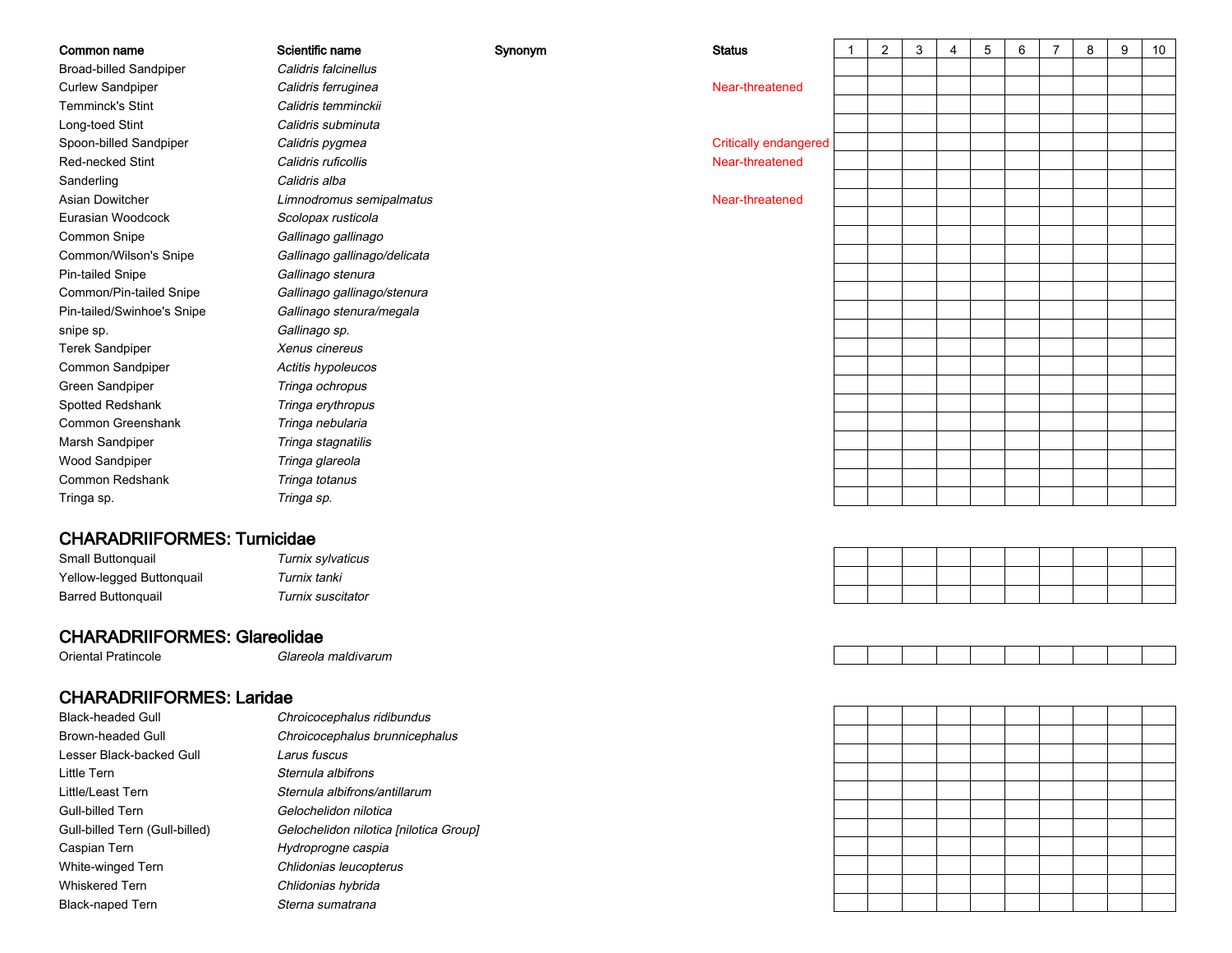| Common name                         | Scientific name                | Synonym | <b>Status</b>                | $\mathbf 1$ | 2 | 3 | 4 | $\sqrt{5}$ | 6 | $\overline{7}$ | 8 | 9 | 10 |
|-------------------------------------|--------------------------------|---------|------------------------------|-------------|---|---|---|------------|---|----------------|---|---|----|
| <b>Broad-billed Sandpiper</b>       | Calidris falcinellus           |         |                              |             |   |   |   |            |   |                |   |   |    |
| <b>Curlew Sandpiper</b>             | Calidris ferruginea            |         | Near-threatened              |             |   |   |   |            |   |                |   |   |    |
| Temminck's Stint                    | Calidris temminckii            |         |                              |             |   |   |   |            |   |                |   |   |    |
| Long-toed Stint                     | Calidris subminuta             |         |                              |             |   |   |   |            |   |                |   |   |    |
| Spoon-billed Sandpiper              | Calidris pygmea                |         | <b>Critically endangered</b> |             |   |   |   |            |   |                |   |   |    |
| Red-necked Stint                    | Calidris ruficollis            |         | Near-threatened              |             |   |   |   |            |   |                |   |   |    |
| Sanderling                          | Calidris alba                  |         |                              |             |   |   |   |            |   |                |   |   |    |
| Asian Dowitcher                     | Limnodromus semipalmatus       |         | Near-threatened              |             |   |   |   |            |   |                |   |   |    |
| Eurasian Woodcock                   | Scolopax rusticola             |         |                              |             |   |   |   |            |   |                |   |   |    |
| Common Snipe                        | Gallinago gallinago            |         |                              |             |   |   |   |            |   |                |   |   |    |
| Common/Wilson's Snipe               | Gallinago gallinago/delicata   |         |                              |             |   |   |   |            |   |                |   |   |    |
| Pin-tailed Snipe                    | Gallinago stenura              |         |                              |             |   |   |   |            |   |                |   |   |    |
| Common/Pin-tailed Snipe             | Gallinago gallinago/stenura    |         |                              |             |   |   |   |            |   |                |   |   |    |
| Pin-tailed/Swinhoe's Snipe          | Gallinago stenura/megala       |         |                              |             |   |   |   |            |   |                |   |   |    |
| snipe sp.                           | Gallinago sp.                  |         |                              |             |   |   |   |            |   |                |   |   |    |
| <b>Terek Sandpiper</b>              | Xenus cinereus                 |         |                              |             |   |   |   |            |   |                |   |   |    |
| Common Sandpiper                    | Actitis hypoleucos             |         |                              |             |   |   |   |            |   |                |   |   |    |
| Green Sandpiper                     | Tringa ochropus                |         |                              |             |   |   |   |            |   |                |   |   |    |
| Spotted Redshank                    | Tringa erythropus              |         |                              |             |   |   |   |            |   |                |   |   |    |
| Common Greenshank                   | Tringa nebularia               |         |                              |             |   |   |   |            |   |                |   |   |    |
| Marsh Sandpiper                     | Tringa stagnatilis             |         |                              |             |   |   |   |            |   |                |   |   |    |
| Wood Sandpiper                      | Tringa glareola                |         |                              |             |   |   |   |            |   |                |   |   |    |
| Common Redshank                     | Tringa totanus                 |         |                              |             |   |   |   |            |   |                |   |   |    |
| Tringa sp.                          | Tringa sp.                     |         |                              |             |   |   |   |            |   |                |   |   |    |
|                                     |                                |         |                              |             |   |   |   |            |   |                |   |   |    |
| <b>CHARADRIIFORMES: Turnicidae</b>  |                                |         |                              |             |   |   |   |            |   |                |   |   |    |
| Small Buttonquail                   | Turnix sylvaticus              |         |                              |             |   |   |   |            |   |                |   |   |    |
| Yellow-legged Buttonquail           | Turnix tanki                   |         |                              |             |   |   |   |            |   |                |   |   |    |
| <b>Barred Buttonquail</b>           | Turnix suscitator              |         |                              |             |   |   |   |            |   |                |   |   |    |
| <b>CHARADRIIFORMES: Glareolidae</b> |                                |         |                              |             |   |   |   |            |   |                |   |   |    |
| <b>Oriental Pratincole</b>          | Glareola maldivarum            |         |                              |             |   |   |   |            |   |                |   |   |    |
|                                     |                                |         |                              |             |   |   |   |            |   |                |   |   |    |
| <b>CHARADRIIFORMES: Laridae</b>     |                                |         |                              |             |   |   |   |            |   |                |   |   |    |
| <b>Black-headed Gull</b>            | Chroicocephalus ridibundus     |         |                              |             |   |   |   |            |   |                |   |   |    |
| <b>Brown-headed Gull</b>            | Chroicocephalus brunnicephalus |         |                              |             |   |   |   |            |   |                |   |   |    |
| Lesser Black-backed Gull            | Larus fuscus                   |         |                              |             |   |   |   |            |   |                |   |   |    |
| <b>Little Tern</b>                  | Sternula albifrons             |         |                              |             |   |   |   |            |   |                |   |   |    |
| Little/Least Tern                   | Sternula albifrons/antillarum  |         |                              |             |   |   |   |            |   |                |   |   |    |



Gull-billed Tern

Caspian Tern

White-winged Tern

Whiskered Tern

Black-naped Tern

Gull-billed Tern (Gull-billed)

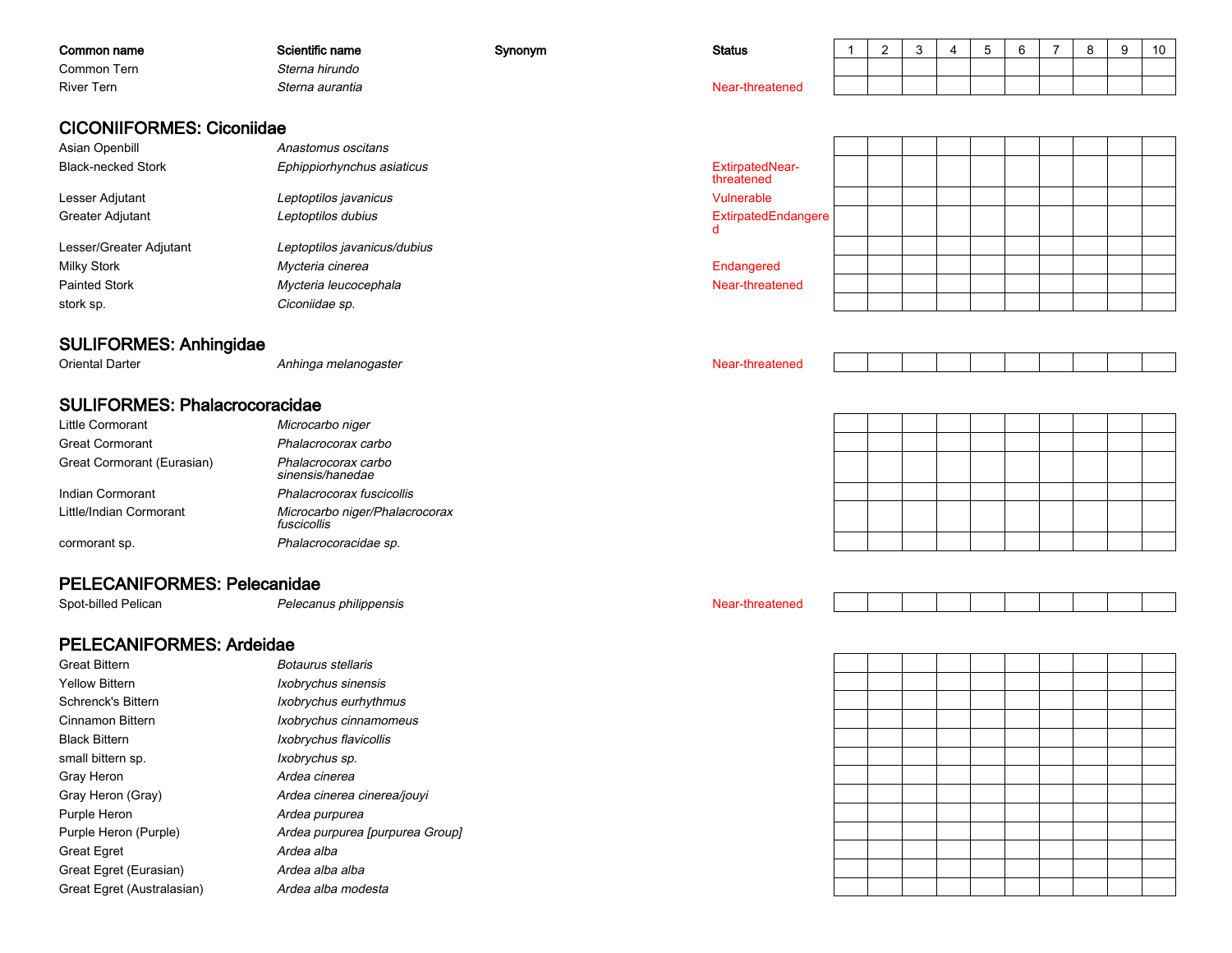| Common name                      | Scientific name              | Synonym | <b>Status</b>                 | 2 | 3 | 5 | 6 | 8 | 9 | 10 |
|----------------------------------|------------------------------|---------|-------------------------------|---|---|---|---|---|---|----|
| Common Tern                      | Sterna hirundo               |         |                               |   |   |   |   |   |   |    |
| <b>River Tern</b>                | Sterna aurantia              |         | Near-threatened               |   |   |   |   |   |   |    |
|                                  |                              |         |                               |   |   |   |   |   |   |    |
| <b>CICONIIFORMES: Ciconiidae</b> |                              |         |                               |   |   |   |   |   |   |    |
| Asian Openbill                   | Anastomus oscitans           |         |                               |   |   |   |   |   |   |    |
| <b>Black-necked Stork</b>        | Ephippiorhynchus asiaticus   |         | ExtirpatedNear-<br>threatened |   |   |   |   |   |   |    |
| Lesser Adjutant                  | Leptoptilos javanicus        |         | Vulnerable                    |   |   |   |   |   |   |    |
| Greater Adjutant                 | Leptoptilos dubius           |         | ExtirpatedEndangere<br>d      |   |   |   |   |   |   |    |
| Lesser/Greater Adjutant          | Leptoptilos javanicus/dubius |         |                               |   |   |   |   |   |   |    |
| <b>Milky Stork</b>               | Mycteria cinerea             |         | Endangered                    |   |   |   |   |   |   |    |
| <b>Painted Stork</b>             | Mycteria leucocephala        |         | Near-threatened               |   |   |   |   |   |   |    |
| stork sp.                        | Ciconiidae sp.               |         |                               |   |   |   |   |   |   |    |
| <b>SULIFORMES: Anhingidae</b>    |                              |         |                               |   |   |   |   |   |   |    |
| Oriontal Dartor                  | Anhings molanogactor         |         | Noor throatonod               |   |   |   |   |   |   |    |

Anhinga melanogaster Near-threatened

### SULIFORMES: Phalacrocoracidae

| Little Cormorant           | Microcarbo niger                              |
|----------------------------|-----------------------------------------------|
| <b>Great Cormorant</b>     | Phalacrocorax carbo                           |
| Great Cormorant (Eurasian) | Phalacrocorax carbo<br>sinensis/hanedae       |
| Indian Cormorant           | Phalacrocorax fuscicollis                     |
| Little/Indian Cormorant    | Microcarbo niger/Phalacrocorax<br>fuscicollis |
| cormorant sp.              | Phalacrocoracidae sp.                         |
|                            |                                               |

### PELECANIFORMES: Pelecanidae

Spot-billed Pelican

Oriental Darter

### PELECANIFORMES: Ardeidae

| <b>Great Bittern</b>       | Botaurus stellaris              |
|----------------------------|---------------------------------|
| <b>Yellow Bittern</b>      | Ixobrychus sinensis             |
| Schrenck's Bittern         | Ixobrychus eurhythmus           |
| Cinnamon Bittern           | Ixobrychus cinnamomeus          |
| <b>Black Bittern</b>       | Ixobrychus flavicollis          |
| small bittern sp.          | Ixobrychus sp.                  |
| Gray Heron                 | Ardea cinerea                   |
| Gray Heron (Gray)          | Ardea cinerea cinerea/jouvi     |
| Purple Heron               | Ardea purpurea                  |
| Purple Heron (Purple)      | Ardea purpurea [purpurea Group] |
| <b>Great Egret</b>         | Ardea alba                      |
| Great Egret (Eurasian)     | Ardea alba alba                 |
| Great Egret (Australasian) | Ardea alba modesta              |

Pelecanus philippensis Near-threatened

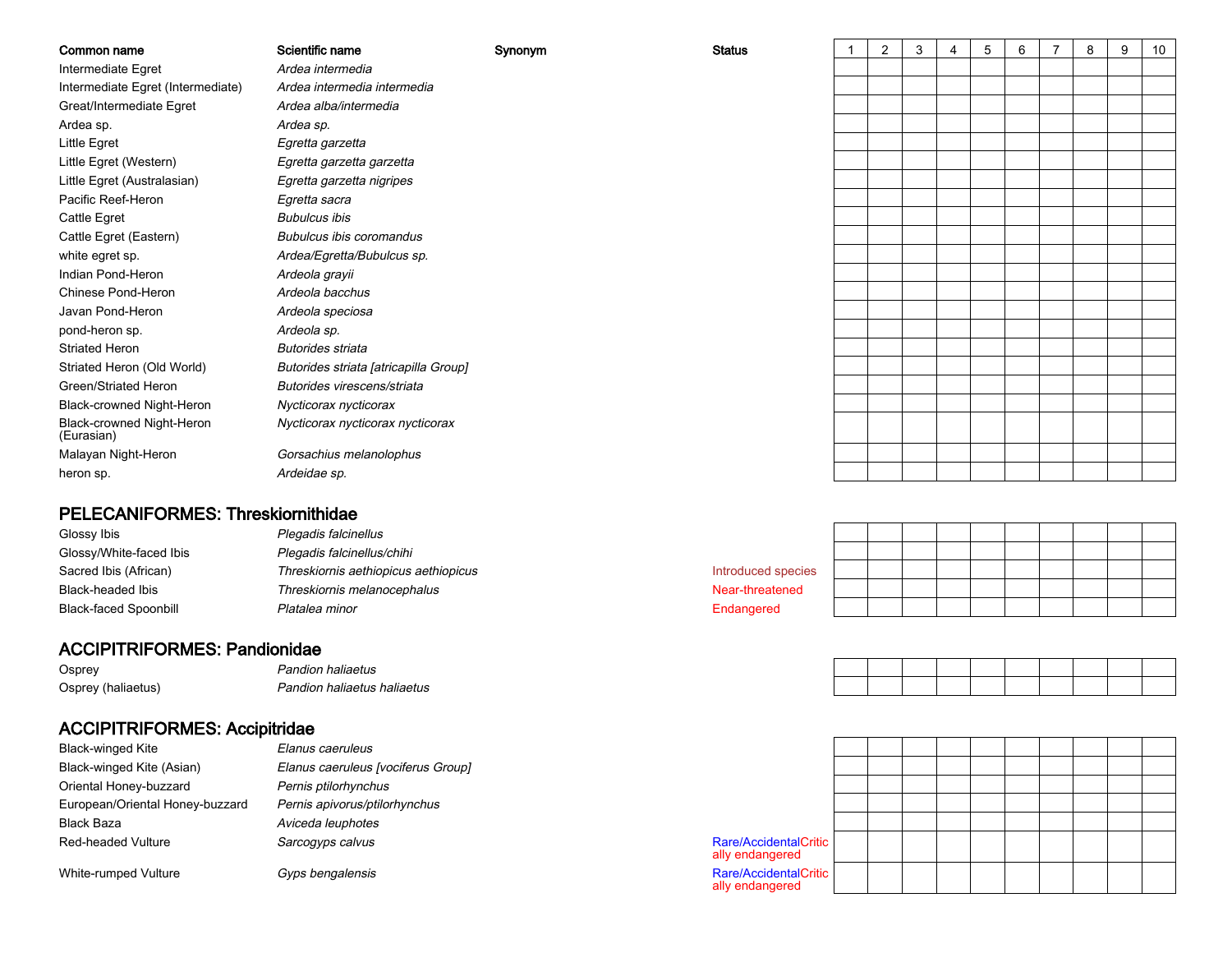| Common name                             | Scientific name                       | Synonym | <b>Status</b> | $\overline{2}$ | 3 | 4 | 5 | 6 | 8 | 9 | 10 |
|-----------------------------------------|---------------------------------------|---------|---------------|----------------|---|---|---|---|---|---|----|
| Intermediate Egret                      | Ardea intermedia                      |         |               |                |   |   |   |   |   |   |    |
| Intermediate Egret (Intermediate)       | Ardea intermedia intermedia           |         |               |                |   |   |   |   |   |   |    |
| Great/Intermediate Egret                | Ardea alba/intermedia                 |         |               |                |   |   |   |   |   |   |    |
| Ardea sp.                               | Ardea sp.                             |         |               |                |   |   |   |   |   |   |    |
| Little Egret                            | Egretta garzetta                      |         |               |                |   |   |   |   |   |   |    |
| Little Egret (Western)                  | Egretta garzetta garzetta             |         |               |                |   |   |   |   |   |   |    |
| Little Egret (Australasian)             | Egretta garzetta nigripes             |         |               |                |   |   |   |   |   |   |    |
| Pacific Reef-Heron                      | Egretta sacra                         |         |               |                |   |   |   |   |   |   |    |
| Cattle Egret                            | <b>Bubulcus ibis</b>                  |         |               |                |   |   |   |   |   |   |    |
| Cattle Egret (Eastern)                  | Bubulcus ibis coromandus              |         |               |                |   |   |   |   |   |   |    |
| white egret sp.                         | Ardea/Egretta/Bubulcus sp.            |         |               |                |   |   |   |   |   |   |    |
| Indian Pond-Heron                       | Ardeola grayii                        |         |               |                |   |   |   |   |   |   |    |
| Chinese Pond-Heron                      | Ardeola bacchus                       |         |               |                |   |   |   |   |   |   |    |
| Javan Pond-Heron                        | Ardeola speciosa                      |         |               |                |   |   |   |   |   |   |    |
| pond-heron sp.                          | Ardeola sp.                           |         |               |                |   |   |   |   |   |   |    |
| <b>Striated Heron</b>                   | <b>Butorides striata</b>              |         |               |                |   |   |   |   |   |   |    |
| Striated Heron (Old World)              | Butorides striata [atricapilla Group] |         |               |                |   |   |   |   |   |   |    |
| Green/Striated Heron                    | Butorides virescens/striata           |         |               |                |   |   |   |   |   |   |    |
| Black-crowned Night-Heron               | Nycticorax nycticorax                 |         |               |                |   |   |   |   |   |   |    |
| Black-crowned Night-Heron<br>(Eurasian) | Nycticorax nycticorax nycticorax      |         |               |                |   |   |   |   |   |   |    |
| Malayan Night-Heron                     | Gorsachius melanolophus               |         |               |                |   |   |   |   |   |   |    |
| heron sp.                               | Ardeidae sp.                          |         |               |                |   |   |   |   |   |   |    |
|                                         |                                       |         |               |                |   |   |   |   |   |   |    |

### PELECANIFORMES: Threskiornithidae

| Glossy Ibis                  | Plegadis falcinellus                 |                    |  |  |  |  |  |
|------------------------------|--------------------------------------|--------------------|--|--|--|--|--|
| Glossy/White-faced Ibis      | Plegadis falcinellus/chihi           |                    |  |  |  |  |  |
| Sacred Ibis (African)        | Threskiornis aethiopicus aethiopicus | Introduced species |  |  |  |  |  |
| Black-headed Ibis            | Threskiornis melanocephalus          | Near-threatened    |  |  |  |  |  |
| <b>Black-faced Spoonbill</b> | Platalea minor                       | Endangered         |  |  |  |  |  |

### ACCIPITRIFORMES: Pandionidae

 Pandion haliaetus OspreyOsprey (haliaetus)Pandion haliaetus haliaetus

### ACCIPITRIFORMES: Accipitridae

| Elanus caeruleus                   |                                          |
|------------------------------------|------------------------------------------|
| Elanus caeruleus [vociferus Group] |                                          |
| Pernis ptilorhynchus               |                                          |
| Pernis apivorus/ptilorhynchus      |                                          |
| Aviceda leuphotes                  |                                          |
| Sarcogyps calvus                   | Rare/AccidentalCritic<br>ally endangered |
|                                    |                                          |

White-rumped Vulture



Gyps bengalensis Rare/AccidentalCritic ally endangered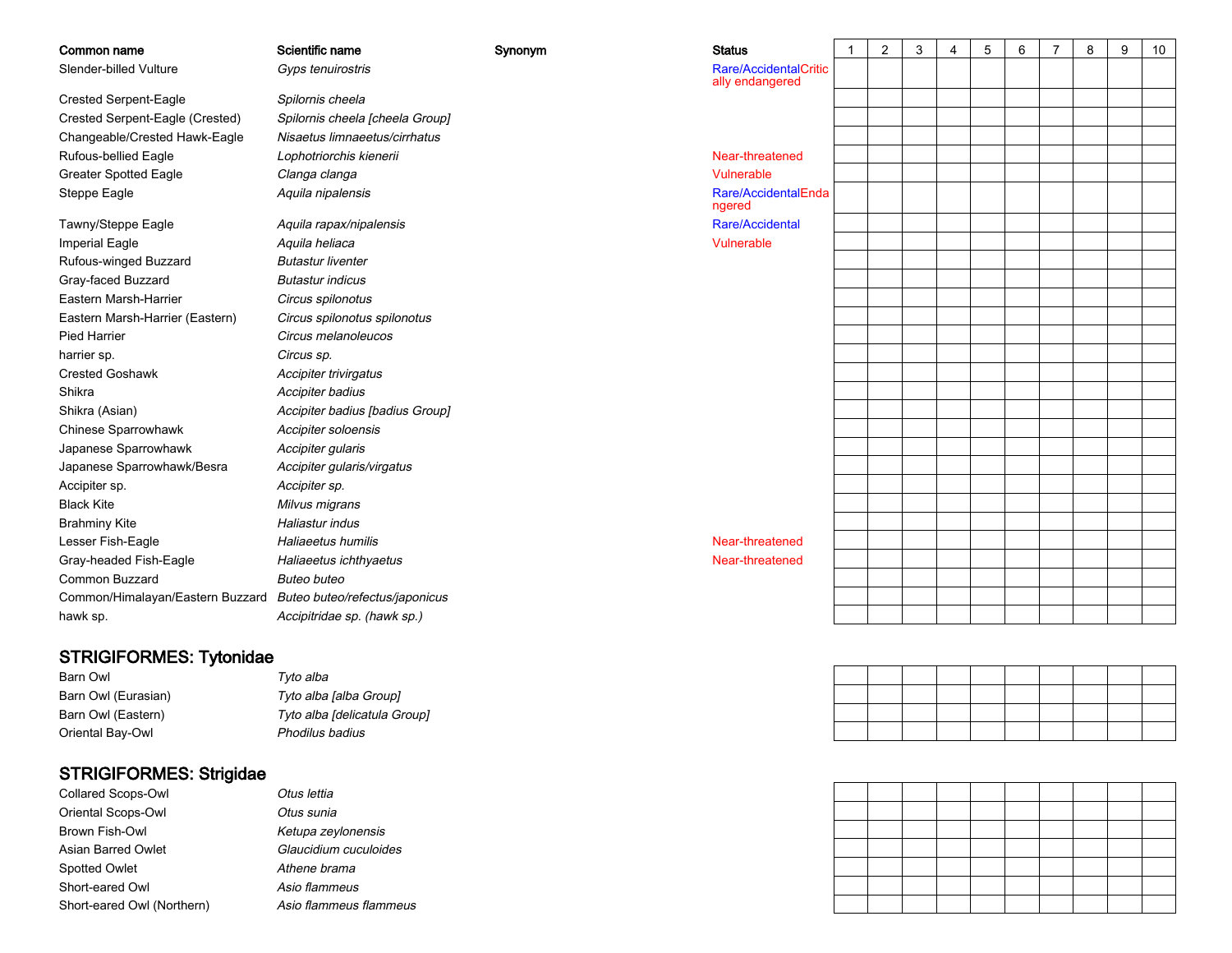| Common name                      | Scientific name                 | Synonym | <b>Status</b>                            |
|----------------------------------|---------------------------------|---------|------------------------------------------|
| Slender-billed Vulture           | Gyps tenuirostris               |         | Rare/AccidentalCritic<br>ally endangered |
| <b>Crested Serpent-Eagle</b>     | Spilornis cheela                |         |                                          |
| Crested Serpent-Eagle (Crested)  | Spilornis cheela [cheela Group] |         |                                          |
| Changeable/Crested Hawk-Eagle    | Nisaetus limnaeetus/cirrhatus   |         |                                          |
| <b>Rufous-bellied Eagle</b>      | Lophotriorchis kienerii         |         | Near-threatened                          |
| <b>Greater Spotted Eagle</b>     | Clanga clanga                   |         | Vulnerable                               |
| Steppe Eagle                     | Aquila nipalensis               |         | Rare/AccidentalEnda<br>ngered            |
| Tawny/Steppe Eagle               | Aquila rapax/nipalensis         |         | Rare/Accidental                          |
| <b>Imperial Eagle</b>            | Aquila heliaca                  |         | Vulnerable                               |
| Rufous-winged Buzzard            | <b>Butastur liventer</b>        |         |                                          |
| Gray-faced Buzzard               | <b>Butastur indicus</b>         |         |                                          |
| Eastern Marsh-Harrier            | Circus spilonotus               |         |                                          |
| Eastern Marsh-Harrier (Eastern)  | Circus spilonotus spilonotus    |         |                                          |
| <b>Pied Harrier</b>              | Circus melanoleucos             |         |                                          |
| harrier sp.                      | Circus sp.                      |         |                                          |
| <b>Crested Goshawk</b>           | <b>Accipiter trivirgatus</b>    |         |                                          |
| Shikra                           | Accipiter badius                |         |                                          |
| Shikra (Asian)                   | Accipiter badius [badius Group] |         |                                          |
| Chinese Sparrowhawk              | Accipiter soloensis             |         |                                          |
| Japanese Sparrowhawk             | Accipiter gularis               |         |                                          |
| Japanese Sparrowhawk/Besra       | Accipiter gularis/virgatus      |         |                                          |
| Accipiter sp.                    | Accipiter sp.                   |         |                                          |
| <b>Black Kite</b>                | Milvus migrans                  |         |                                          |
| <b>Brahminy Kite</b>             | Haliastur indus                 |         |                                          |
| Lesser Fish-Eagle                | Haliaeetus humilis              |         | Near-threatened                          |
| Gray-headed Fish-Eagle           | Haliaeetus ichthyaetus          |         | Near-threatened                          |
| <b>Common Buzzard</b>            | <b>Buteo buteo</b>              |         |                                          |
| Common/Himalayan/Eastern Buzzard | Buteo buteo/refectus/japonicus  |         |                                          |
| hawk sp.                         | Accipitridae sp. (hawk sp.)     |         |                                          |

### STRIGIFORMES: Tytonidae

Barn OwlBarn Owl (Eurasian)Barn Owl (Eastern)Oriental Bay-Owl

 Tyto alba Tyto alba [alba Group] Tyto alba [delicatula Group] Phodilus badius

### STRIGIFORMES: Strigidae

Collared Scops-OwlOriental Scops-OwlBrown Fish-OwlAsian Barred OwletSpotted OwletShort-eared OwlShort-eared Owl (Northern)

 Otus lettia Otus sunia Ketupa zeylonensis Glaucidium cuculoides Athene brama Asio flammeusAsio flammeus flammeus

| m | <b>Status</b>                            | 1 | $\overline{c}$ | 3 | 4 | $\mathbf 5$ | 6 | $\overline{7}$ | 8 | 9 | 10 |
|---|------------------------------------------|---|----------------|---|---|-------------|---|----------------|---|---|----|
|   | Rare/AccidentalCritic<br>ally endangered |   |                |   |   |             |   |                |   |   |    |
|   |                                          |   |                |   |   |             |   |                |   |   |    |
|   |                                          |   |                |   |   |             |   |                |   |   |    |
|   |                                          |   |                |   |   |             |   |                |   |   |    |
|   | Near-threatened                          |   |                |   |   |             |   |                |   |   |    |
|   | Vulnerable                               |   |                |   |   |             |   |                |   |   |    |
|   | Rare/AccidentalEnda<br>ngered            |   |                |   |   |             |   |                |   |   |    |
|   | Rare/Accidental                          |   |                |   |   |             |   |                |   |   |    |
|   | Vulnerable                               |   |                |   |   |             |   |                |   |   |    |
|   |                                          |   |                |   |   |             |   |                |   |   |    |
|   |                                          |   |                |   |   |             |   |                |   |   |    |
|   |                                          |   |                |   |   |             |   |                |   |   |    |
|   |                                          |   |                |   |   |             |   |                |   |   |    |
|   |                                          |   |                |   |   |             |   |                |   |   |    |
|   |                                          |   |                |   |   |             |   |                |   |   |    |
|   |                                          |   |                |   |   |             |   |                |   |   |    |
|   |                                          |   |                |   |   |             |   |                |   |   |    |
|   |                                          |   |                |   |   |             |   |                |   |   |    |
|   |                                          |   |                |   |   |             |   |                |   |   |    |
|   |                                          |   |                |   |   |             |   |                |   |   |    |
|   |                                          |   |                |   |   |             |   |                |   |   |    |
|   |                                          |   |                |   |   |             |   |                |   |   |    |
|   |                                          |   |                |   |   |             |   |                |   |   |    |
|   |                                          |   |                |   |   |             |   |                |   |   |    |
|   | Near-threatened                          |   |                |   |   |             |   |                |   |   |    |
|   | Near-threatened                          |   |                |   |   |             |   |                |   |   |    |
|   |                                          |   |                |   |   |             |   |                |   |   |    |
|   |                                          |   |                |   |   |             |   |                |   |   |    |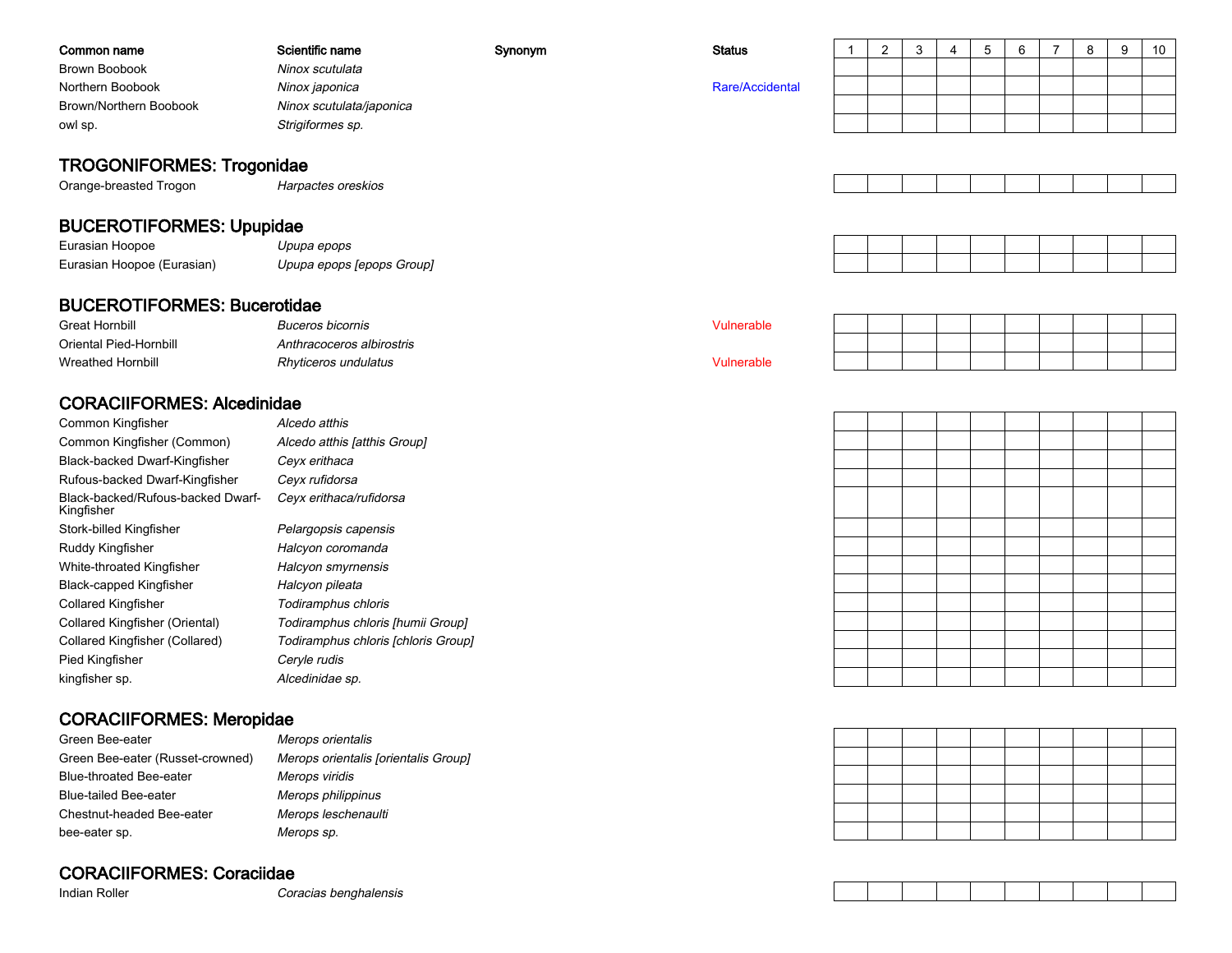| Common name                                                | Scientific name          | Synonym | <b>Status</b>   |  | 3 | 5 |  | 8 | -9 | 10 |
|------------------------------------------------------------|--------------------------|---------|-----------------|--|---|---|--|---|----|----|
| <b>Brown Boobook</b>                                       | Ninox scutulata          |         |                 |  |   |   |  |   |    |    |
| Northern Boobook                                           | Ninox japonica           |         | Rare/Accidental |  |   |   |  |   |    |    |
| Brown/Northern Boobook                                     | Ninox scutulata/japonica |         |                 |  |   |   |  |   |    |    |
| owl sp.                                                    | Strigiformes sp.         |         |                 |  |   |   |  |   |    |    |
| <b>TROGONIFORMES: Trogonidae</b><br>Orange-breasted Trogon | Harpactes oreskios       |         |                 |  |   |   |  |   |    |    |
| <b>BUCEROTIFORMES: Upupidae</b>                            |                          |         |                 |  |   |   |  |   |    |    |

| Eurasian Hoopoe            | Upupa epops               |
|----------------------------|---------------------------|
| Eurasian Hoopoe (Eurasian) | Upupa epops [epops Group] |

### BUCEROTIFORMES: Bucerotidae

| <b>Great Hornbill</b>    | <i>Buceros bicornis</i>   | ` <sup>4</sup> ulnerable |  |  |  |  |
|--------------------------|---------------------------|--------------------------|--|--|--|--|
| Oriental Pied-Hornbill   | Anthracoceros albirostris |                          |  |  |  |  |
| <b>Wreathed Hornbill</b> | Rhyticeros undulatus      | /ulnerable               |  |  |  |  |

### CORACIIFORMES: Alcedinidae

| Common Kingfisher                               | Alcedo atthis             |
|-------------------------------------------------|---------------------------|
| Common Kingfisher (Common)                      | Alcedo atthis [atthis Gro |
| Black-backed Dwarf-Kingfisher                   | Ceyx erithaca             |
| Rufous-backed Dwarf-Kingfisher                  | Ceyx rufidorsa            |
| Black-backed/Rufous-backed Dwarf-<br>Kingfisher | Ceyx erithaca/rufidorsa   |
| Stork-billed Kingfisher                         | Pelargopsis capensis      |
| Ruddy Kingfisher                                | Halcyon coromanda         |
| White-throated Kingfisher                       | Halcyon smyrnensis        |
| Black-capped Kingfisher                         | Halcyon pileata           |
| Collared Kingfisher                             | Todiramphus chloris       |
| Collared Kingfisher (Oriental)                  | Todiramphus chloris [hi   |
| Collared Kingfisher (Collared)                  | Todiramphus chloris [cl   |
| Pied Kingfisher                                 | Ceryle rudis              |
| kingfisher sp.                                  | Alcedinidae sp.           |
|                                                 |                           |

|          | <i>AICeao annis</i>                 |
|----------|-------------------------------------|
| (תכ      | Alcedo atthis [atthis Group]        |
| ۱er      | Ceyx erithaca                       |
| sher     | Ceyx rufidorsa                      |
| d Dwarf- | Ceyx erithaca/rufidorsa             |
|          |                                     |
|          | Pelargopsis capensis                |
|          | Halcyon coromanda                   |
|          | Halcyon smyrnensis                  |
|          | Halcyon pileata                     |
|          | Todiramphus chloris                 |
|          | Todiramphus chloris [humii Group]   |
| I)       | Todiramphus chloris [chloris Group] |
|          | Ceryle rudis                        |
|          |                                     |

### CORACIIFORMES: Meropidae

| Green Bee-eater                  | Merops orientalis                    |
|----------------------------------|--------------------------------------|
| Green Bee-eater (Russet-crowned) | Merops orientalis [orientalis Group] |
| Blue-throated Bee-eater          | Merops viridis                       |
| Blue-tailed Bee-eater            | Merops philippinus                   |
| Chestnut-headed Bee-eater        | Merops leschenaulti                  |
| bee-eater sp.                    | Merops sp.                           |

### CORACIIFORMES: Coraciidae

Indian Roller

Coracias benghalensis



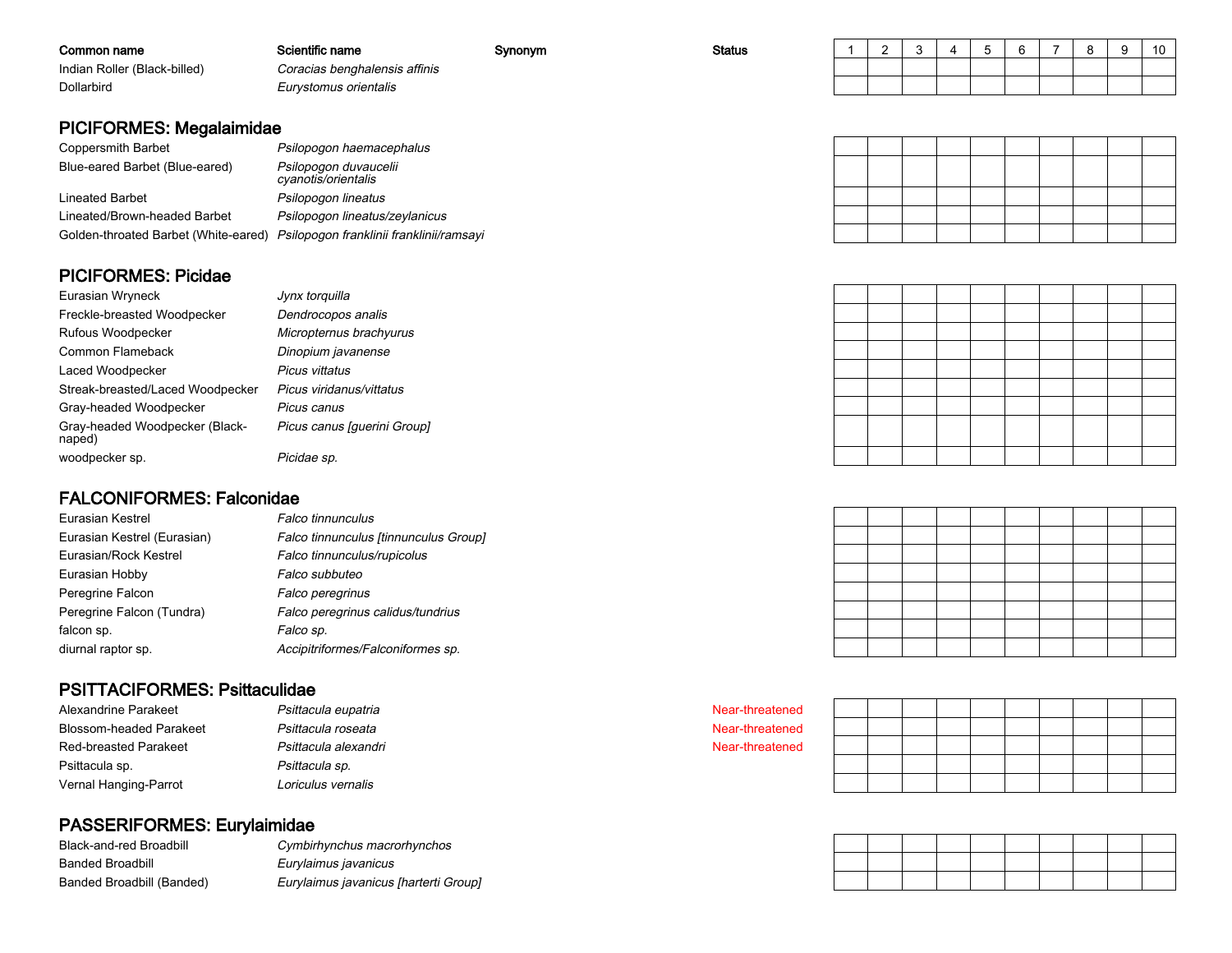| Common name                                                                                                                          | Scientific name               | Synonym | <b>Status</b> |  |  |  | $\rightarrow$ | $\Omega$ | 9 | 10 |
|--------------------------------------------------------------------------------------------------------------------------------------|-------------------------------|---------|---------------|--|--|--|---------------|----------|---|----|
| Indian Roller (Black-billed)                                                                                                         | Coracias benghalensis affinis |         |               |  |  |  |               |          |   |    |
| Dollarbird<br>Eurystomus orientalis                                                                                                  |                               |         |               |  |  |  |               |          |   |    |
|                                                                                                                                      |                               |         |               |  |  |  |               |          |   |    |
| <b>PICIFORMES: Megalaimidae</b>                                                                                                      |                               |         |               |  |  |  |               |          |   |    |
| $\bigcap_{n=1}^{\infty}$ . The second second second $\bigcap_{n=1}^{\infty}$ in $\bigcap_{n=1}^{\infty}$ in $\bigcap_{n=1}^{\infty}$ |                               |         |               |  |  |  |               |          |   |    |

| Coppersmith Barbet                   | Psilopogon haemacephalus                     |
|--------------------------------------|----------------------------------------------|
| Blue-eared Barbet (Blue-eared)       | Psilopogon duvaucelii<br>cyanotis/orientalis |
| Lineated Barbet                      | Psilopogon lineatus                          |
| Lineated/Brown-headed Barbet         | Psilopogon lineatus/zeylanicus               |
| Golden-throated Barbet (White-eared) | Psilopogon franklinii franklinii/ramsayi     |

### PICIFORMES: Picidae

| Eurasian Wryneck                         | Jynx torquilla              |
|------------------------------------------|-----------------------------|
| Freckle-breasted Woodpecker              | Dendrocopos analis          |
| Rufous Woodpecker                        | Micropternus brachyurus     |
| Common Flameback                         | Dinopium javanense          |
| Laced Woodpecker                         | Picus vittatus              |
| Streak-breasted/Laced Woodpecker         | Picus viridanus/vittatus    |
| Gray-headed Woodpecker                   | Picus canus                 |
| Gray-headed Woodpecker (Black-<br>naped) | Picus canus [guerini Group] |
| woodpecker sp.                           | Picidae sp.                 |

### FALCONIFORMES: Falconidae

| Eurasian Kestrel            | Falco tinnunculus                     |
|-----------------------------|---------------------------------------|
| Eurasian Kestrel (Eurasian) | Falco tinnunculus [tinnunculus Group] |
| Eurasian/Rock Kestrel       | Falco tinnunculus/rupicolus           |
| Eurasian Hobby              | Falco subbuteo                        |
| Peregrine Falcon            | <b>Falco peregrinus</b>               |
| Peregrine Falcon (Tundra)   | Falco peregrinus calidus/tundrius     |
| falcon sp.                  | Falco sp.                             |
| diurnal raptor sp.          | Accipitriformes/Falconiformes sp.     |

### PSITTACIFORMES: Psittaculidae

| Alexandrine Parakeet           | Psittacula eupatria  |
|--------------------------------|----------------------|
| <b>Blossom-headed Parakeet</b> | Psittacula roseata   |
| <b>Red-breasted Parakeet</b>   | Psittacula alexandri |
| Psittacula sp.                 | Psittacula sp.       |
| Vernal Hanging-Parrot          | Loriculus vernalis   |

### PASSERIFORMES: Eurylaimidae

| Black-and-red Broadbill   | Cymbirhynchus macrorhynchos           |
|---------------------------|---------------------------------------|
| Banded Broadbill          | Eurvlaimus iavanicus                  |
| Banded Broadbill (Banded) | Eurylaimus javanicus [harterti Group] |

Near-threatened

 Near-threatened Near-threatened

|  | the contract of the contract of the contract of the contract of the contract of | $\blacksquare$ . The contract of the contract of the contract of the contract of the contract of the contract of the contract of the contract of the contract of the contract of the contract of the contract of the contract of the | the contract of the contract of the contract of the contract of the contract of the contract of the contract of |  |  |
|--|---------------------------------------------------------------------------------|--------------------------------------------------------------------------------------------------------------------------------------------------------------------------------------------------------------------------------------|-----------------------------------------------------------------------------------------------------------------|--|--|
|  |                                                                                 |                                                                                                                                                                                                                                      |                                                                                                                 |  |  |
|  |                                                                                 |                                                                                                                                                                                                                                      |                                                                                                                 |  |  |
|  |                                                                                 |                                                                                                                                                                                                                                      |                                                                                                                 |  |  |
|  |                                                                                 |                                                                                                                                                                                                                                      |                                                                                                                 |  |  |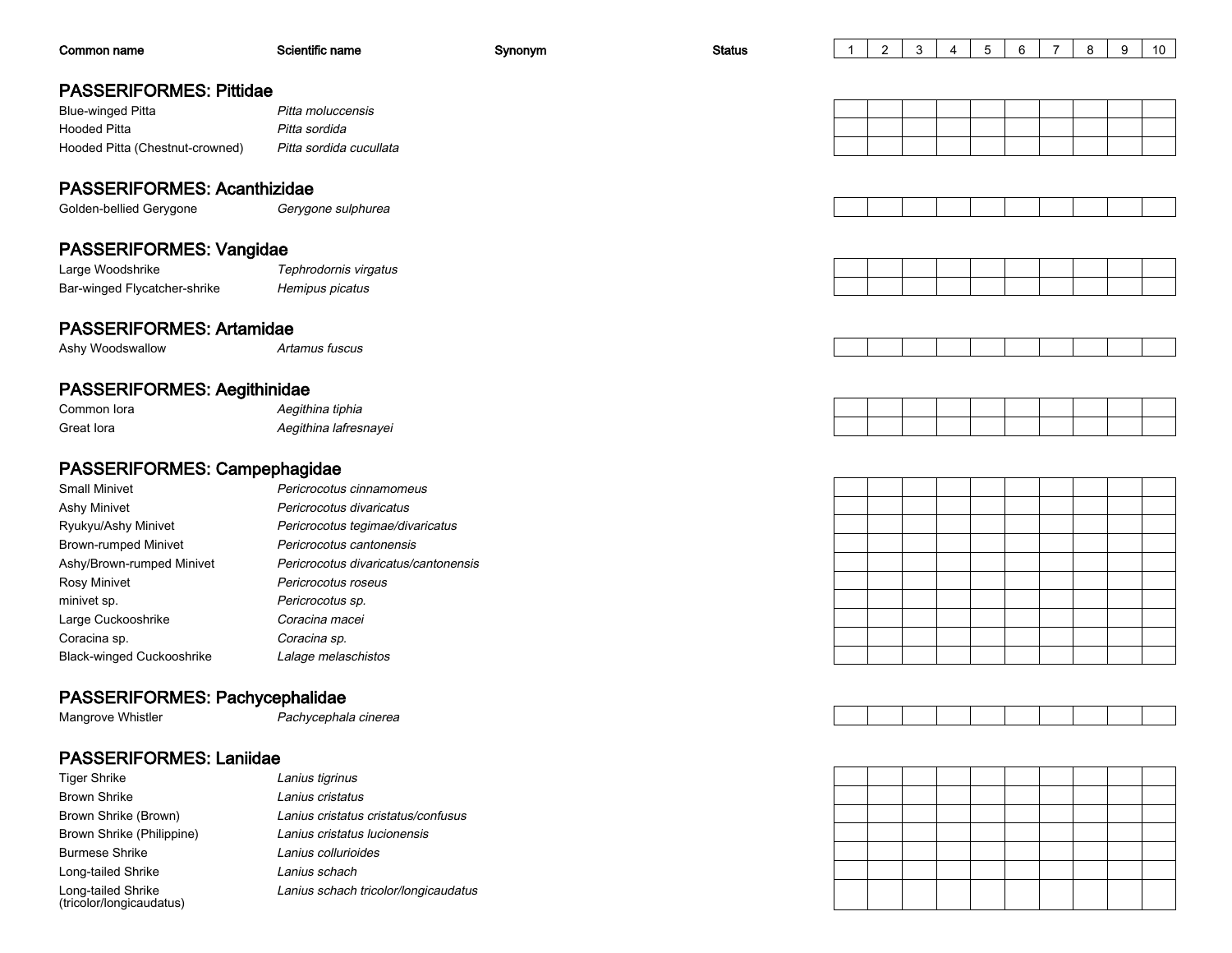| Common name                                    | Scientific name                      | Synonym | <b>Status</b> | $\mathbf{1}$ | $\overline{2}$ | 3 | 4 | 5 | 6 | $\overline{7}$ | 8 | 9 | 10 |
|------------------------------------------------|--------------------------------------|---------|---------------|--------------|----------------|---|---|---|---|----------------|---|---|----|
|                                                |                                      |         |               |              |                |   |   |   |   |                |   |   |    |
| <b>PASSERIFORMES: Pittidae</b>                 |                                      |         |               |              |                |   |   |   |   |                |   |   |    |
| <b>Blue-winged Pitta</b>                       | Pitta moluccensis                    |         |               |              |                |   |   |   |   |                |   |   |    |
| <b>Hooded Pitta</b>                            | Pitta sordida                        |         |               |              |                |   |   |   |   |                |   |   |    |
| Hooded Pitta (Chestnut-crowned)                | Pitta sordida cucullata              |         |               |              |                |   |   |   |   |                |   |   |    |
| <b>PASSERIFORMES: Acanthizidae</b>             |                                      |         |               |              |                |   |   |   |   |                |   |   |    |
| Golden-bellied Gerygone                        | Gerygone sulphurea                   |         |               |              |                |   |   |   |   |                |   |   |    |
|                                                |                                      |         |               |              |                |   |   |   |   |                |   |   |    |
| PASSERIFORMES: Vangidae                        |                                      |         |               |              |                |   |   |   |   |                |   |   |    |
| Large Woodshrike                               | Tephrodornis virgatus                |         |               |              |                |   |   |   |   |                |   |   |    |
| Bar-winged Flycatcher-shrike                   | Hemipus picatus                      |         |               |              |                |   |   |   |   |                |   |   |    |
| <b>PASSERIFORMES: Artamidae</b>                |                                      |         |               |              |                |   |   |   |   |                |   |   |    |
| Ashy Woodswallow                               | Artamus fuscus                       |         |               |              |                |   |   |   |   |                |   |   |    |
|                                                |                                      |         |               |              |                |   |   |   |   |                |   |   |    |
| <b>PASSERIFORMES: Aegithinidae</b>             |                                      |         |               |              |                |   |   |   |   |                |   |   |    |
| Common lora                                    | Aegithina tiphia                     |         |               |              |                |   |   |   |   |                |   |   |    |
| Great lora                                     | Aegithina lafresnayei                |         |               |              |                |   |   |   |   |                |   |   |    |
| PASSERIFORMES: Campephagidae                   |                                      |         |               |              |                |   |   |   |   |                |   |   |    |
| <b>Small Minivet</b>                           | Pericrocotus cinnamomeus             |         |               |              |                |   |   |   |   |                |   |   |    |
| Ashy Minivet                                   | Pericrocotus divaricatus             |         |               |              |                |   |   |   |   |                |   |   |    |
| Ryukyu/Ashy Minivet                            | Pericrocotus tegimae/divaricatus     |         |               |              |                |   |   |   |   |                |   |   |    |
| <b>Brown-rumped Minivet</b>                    | Pericrocotus cantonensis             |         |               |              |                |   |   |   |   |                |   |   |    |
| Ashy/Brown-rumped Minivet                      | Pericrocotus divaricatus/cantonensis |         |               |              |                |   |   |   |   |                |   |   |    |
| <b>Rosy Minivet</b>                            | Pericrocotus roseus                  |         |               |              |                |   |   |   |   |                |   |   |    |
| minivet sp.                                    | Pericrocotus sp.                     |         |               |              |                |   |   |   |   |                |   |   |    |
| Large Cuckooshrike                             | Coracina macei                       |         |               |              |                |   |   |   |   |                |   |   |    |
| Coracina sp.                                   | Coracina sp.                         |         |               |              |                |   |   |   |   |                |   |   |    |
| <b>Black-winged Cuckooshrike</b>               | Lalage melaschistos                  |         |               |              |                |   |   |   |   |                |   |   |    |
|                                                |                                      |         |               |              |                |   |   |   |   |                |   |   |    |
| PASSERIFORMES: Pachycephalidae                 |                                      |         |               |              |                |   |   |   |   |                |   |   |    |
| Mangrove Whistler                              | Pachycephala cinerea                 |         |               |              |                |   |   |   |   |                |   |   |    |
| <b>PASSERIFORMES: Laniidae</b>                 |                                      |         |               |              |                |   |   |   |   |                |   |   |    |
| <b>Tiger Shrike</b>                            | Lanius tigrinus                      |         |               |              |                |   |   |   |   |                |   |   |    |
| <b>Brown Shrike</b>                            | Lanius cristatus                     |         |               |              |                |   |   |   |   |                |   |   |    |
| Brown Shrike (Brown)                           | Lanius cristatus cristatus/confusus  |         |               |              |                |   |   |   |   |                |   |   |    |
| Brown Shrike (Philippine)                      | Lanius cristatus lucionensis         |         |               |              |                |   |   |   |   |                |   |   |    |
| <b>Burmese Shrike</b>                          | Lanius collurioides                  |         |               |              |                |   |   |   |   |                |   |   |    |
| Long-tailed Shrike                             | Lanius schach                        |         |               |              |                |   |   |   |   |                |   |   |    |
| Long-tailed Shrike<br>(tricolor/longicaudatus) | Lanius schach tricolor/longicaudatus |         |               |              |                |   |   |   |   |                |   |   |    |

Long-tailed Shrike (tricolor/longicaudatus)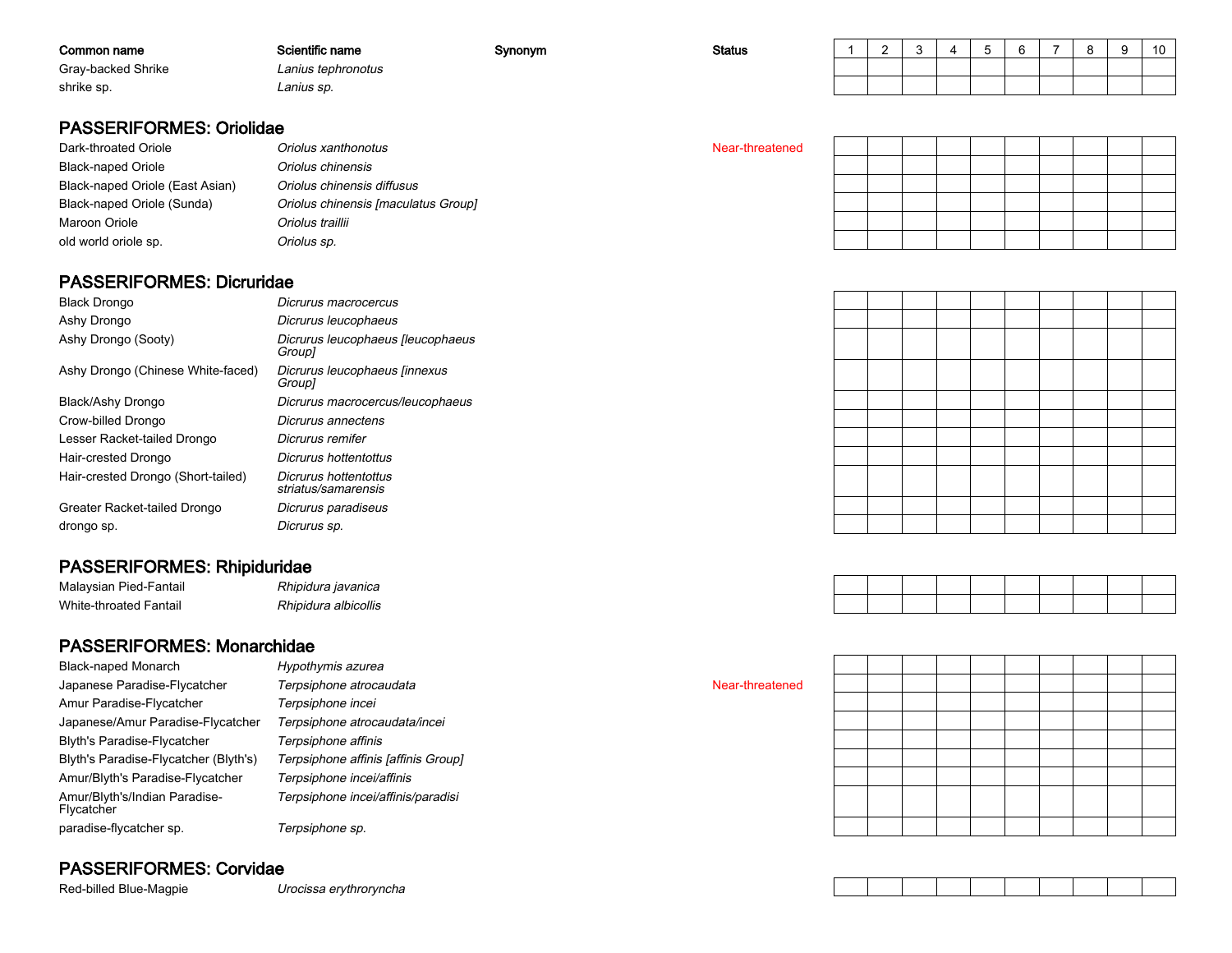| Common name        | Scientific name    | Synonym | <b>Status</b> | $\sim$ |  |  | c<br>$\circ$ | 10 |
|--------------------|--------------------|---------|---------------|--------|--|--|--------------|----|
| Gray-backed Shrike | Lanius tephronotus |         |               |        |  |  |              |    |
| shrike sp.         | Lanius sp.         |         |               |        |  |  |              |    |

### PASSERIFORMES: Oriolidae

| Dark-throated Oriole            | Oriolus xanthonotus                 | Near-threatened |
|---------------------------------|-------------------------------------|-----------------|
| <b>Black-naped Oriole</b>       | Oriolus chinensis                   |                 |
| Black-naped Oriole (East Asian) | Oriolus chinensis diffusus          |                 |
| Black-naped Oriole (Sunda)      | Oriolus chinensis [maculatus Group] |                 |
| Maroon Oriole                   | Oriolus traillii                    |                 |
| old world oriole sp.            | Oriolus sp.                         |                 |

### PASSERIFORMES: Dicruridae

| <b>Black Drongo</b>                | Dicrurus macrocercus                         |
|------------------------------------|----------------------------------------------|
| Ashy Drongo                        | Dicrurus leucophaeus                         |
| Ashy Drongo (Sooty)                | Dicrurus leucophaeus [leucophaeus<br>Group]  |
| Ashy Drongo (Chinese White-faced)  | Dicrurus leucophaeus [innexus<br>Group]      |
| Black/Ashy Drongo                  | Dicrurus macrocercus/leucophaeus             |
| Crow-billed Drongo                 | Dicrurus annectens                           |
| Lesser Racket-tailed Drongo        | Dicrurus remifer                             |
| Hair-crested Drongo                | Dicrurus hottentottus                        |
| Hair-crested Drongo (Short-tailed) | Dicrurus hottentottus<br>striatus/samarensis |
| Greater Racket-tailed Drongo       | Dicrurus paradiseus                          |
| drongo sp.                         | Dicrurus sp.                                 |
|                                    |                                              |

### PASSERIFORMES: Rhipiduridae

| Malaysian Pied-Fantail | Rhipidura javanica   |
|------------------------|----------------------|
| White-throated Fantail | Rhipidura albicollis |

### PASSERIFORMES: Monarchidae

| <b>Black-naped Monarch</b>                  | Hypothymis azurea                   |
|---------------------------------------------|-------------------------------------|
| Japanese Paradise-Flycatcher                | Terpsiphone atrocaudata             |
| Amur Paradise-Flycatcher                    | Terpsiphone incei                   |
| Japanese/Amur Paradise-Flycatcher           | Terpsiphone atrocaudata/incei       |
| <b>Blyth's Paradise-Flycatcher</b>          | Terpsiphone affinis                 |
| Blyth's Paradise-Flycatcher (Blyth's)       | Terpsiphone affinis [affinis Group] |
| Amur/Blyth's Paradise-Flycatcher            | Terpsiphone incei/affinis           |
| Amur/Blyth's/Indian Paradise-<br>Flycatcher | Terpsiphone incei/affinis/paradisi  |
| paradise-flycatcher sp.                     | Terpsiphone sp.                     |

### PASSERIFORMES: Corvidae

Red-billed Blue-Magpie

Urocissa erythroryncha



Near-threatened

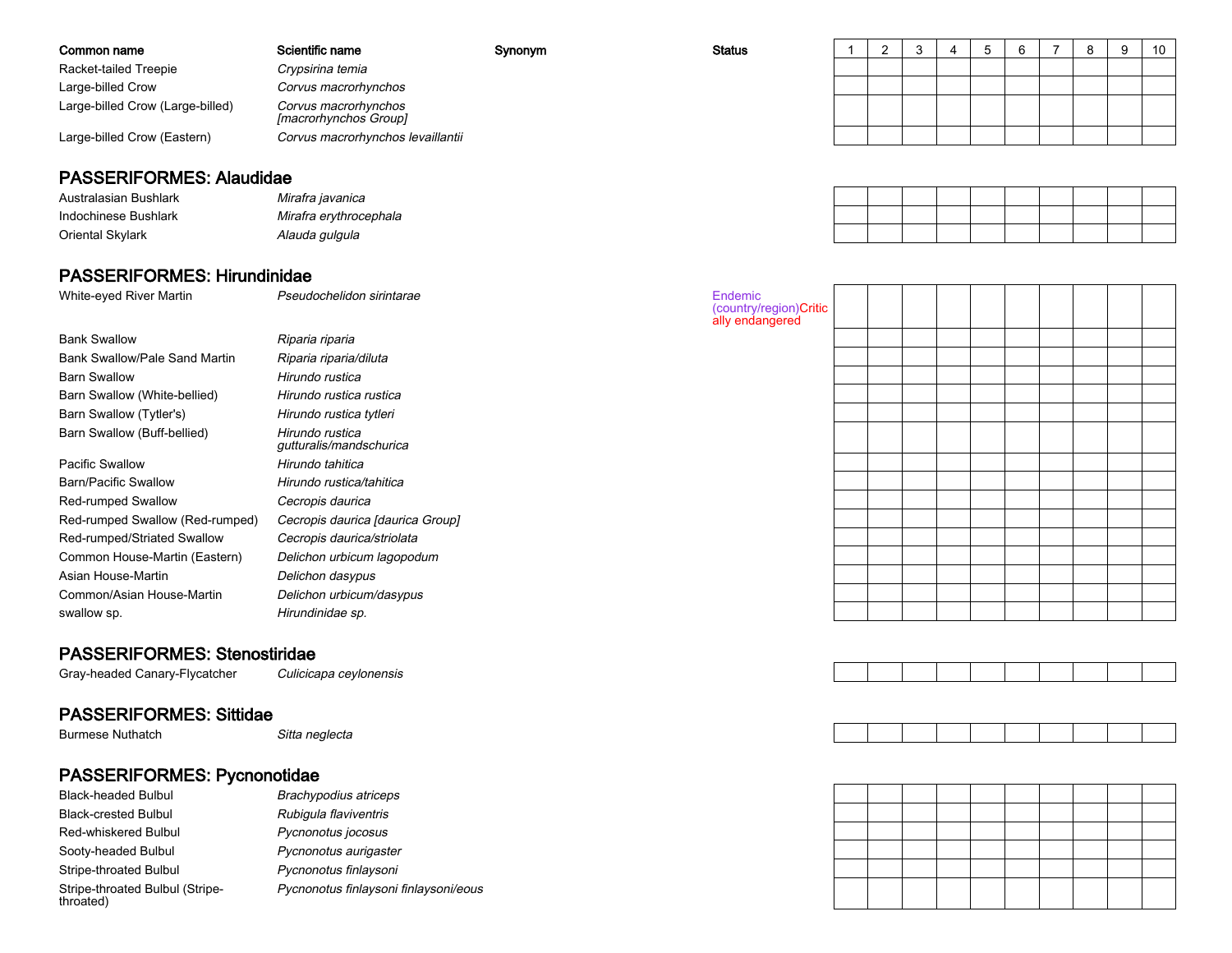| Common name                      | Scientific name                               | Synonym | <b>Status</b> |  |  |  |  | 10 |
|----------------------------------|-----------------------------------------------|---------|---------------|--|--|--|--|----|
| Racket-tailed Treepie            | Crypsirina temia                              |         |               |  |  |  |  |    |
| Large-billed Crow                | Corvus macrorhynchos                          |         |               |  |  |  |  |    |
| Large-billed Crow (Large-billed) | Corvus macrorhynchos<br>[macrorhynchos Group] |         |               |  |  |  |  |    |
| Large-billed Crow (Eastern)      | Corvus macrorhynchos levaillantii             |         |               |  |  |  |  |    |

#### PASSERIFORMES: Alaudidae

Australasian BushlarkIndochinese BushlarkOriental Skylark

 Mirafra javanica Mirafra erythrocephalaAlauda gulgula

#### PASSERIFORMES: Hirundinidae

 Pseudochelidon sirintarae Endemic White-eyed River Martin(country/region)Critically endangeredBank Swallow Riparia riparia Bank Swallow/Pale Sand Martin Riparia riparia/diluta Barn Swallow Hirundo rustica Barn Swallow (White-bellied) Hirundo rustica rustica Hirundo rustica tytleri Barn Swallow (Tytler's)Barn Swallow (Buff-bellied) Hirundo rustica gutturalis/mandschuricaPacific Swallow Hirundo tahitica Barn/Pacific Swallow Hirundo rustica/tahitica Red-rumped Swallow Cecropis daurica Red-rumped Swallow (Red-rumped) Cecropis daurica [daurica Group] Red-rumped/Striated Swallow Cecropis daurica/striolata Common House-Martin (Eastern) Delichon urbicum lagopodumAsian House-Martin Delichon dasypus Common/Asian House-Martin Delichon urbicum/dasypus swallow sp.Hirundinidae sp.

### PASSERIFORMES: Stenostiridae

Gray-headed Canary-Flycatcher

### PASSERIFORMES: Sittidae

Burmese Nuthatch

# PASSERIFORMES: Pycnonotidae

 Brachypodius atricepsBlack-headed BulbulBlack-crested Bulbul Rubigula flaviventris Pycnonotus jocosusRed-whiskered BulbulI **Pycnonotus aurigaster** Sooty-headed Bulbul Pycnonotus finlaysoni Stripe-throated BulbulStripe-throated Bulbul (Stripethroated) Pycnonotus finlaysoni finlaysoni/eous

Culicicapa ceylonensis

Sitta neglecta





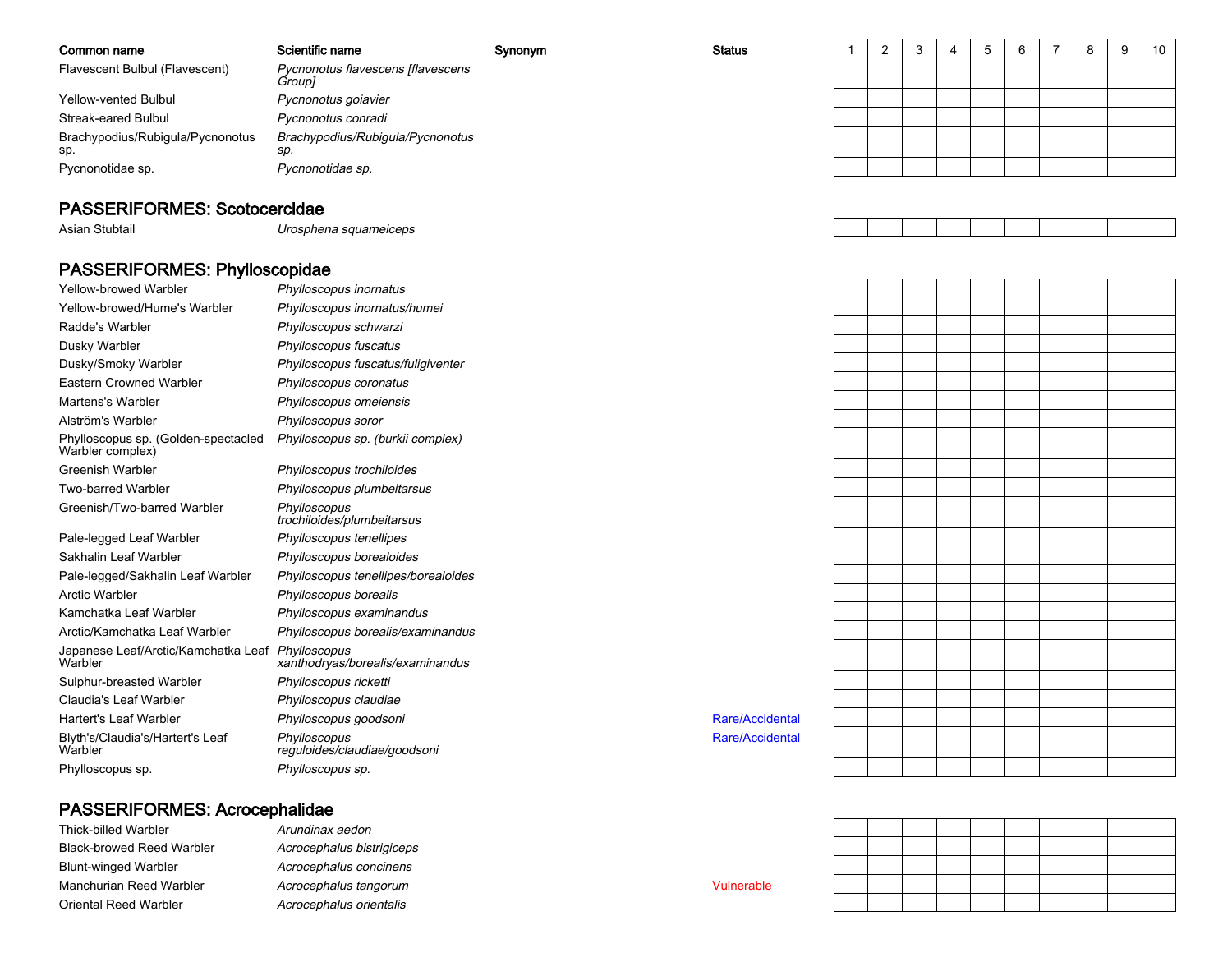| Common name                             | Scientific name                             | Synonym | <b>Status</b> |  |  | -6 |  | -9 | 10 |
|-----------------------------------------|---------------------------------------------|---------|---------------|--|--|----|--|----|----|
| Flavescent Bulbul (Flavescent)          | Pycnonotus flavescens [flavescens<br>Group] |         |               |  |  |    |  |    |    |
| Yellow-vented Bulbul                    | Pycnonotus goiavier                         |         |               |  |  |    |  |    |    |
| Streak-eared Bulbul                     | Pycnonotus conradi                          |         |               |  |  |    |  |    |    |
| Brachypodius/Rubigula/Pycnonotus<br>sp. | Brachypodius/Rubigula/Pycnonotus<br>SD.     |         |               |  |  |    |  |    |    |
| Pycnonotidae sp.                        | Pycnonotidae sp.                            |         |               |  |  |    |  |    |    |

### PASSERIFORMES: Scotocercidae

Asian Stubtail

Urosphena squameiceps

### PASSERIFORMES: Phylloscopidae

| <b>Yellow-browed Warbler</b>                                | Phylloscopus inornatus                       |
|-------------------------------------------------------------|----------------------------------------------|
| Yellow-browed/Hume's Warbler                                | Phylloscopus inornatus/humei                 |
| Radde's Warbler                                             | Phylloscopus schwarzi                        |
| Dusky Warbler                                               | Phylloscopus fuscatus                        |
| Dusky/Smoky Warbler                                         | Phylloscopus fuscatus/fuligiventer           |
| <b>Eastern Crowned Warbler</b>                              | Phylloscopus coronatus                       |
| Martens's Warbler                                           | Phylloscopus omeiensis                       |
| Alström's Warbler                                           | Phylloscopus soror                           |
| Phylloscopus sp. (Golden-spectacled<br>Warbler complex)     | Phylloscopus sp. (burkii complex)            |
| <b>Greenish Warbler</b>                                     | Phylloscopus trochiloides                    |
| <b>Two-barred Warbler</b>                                   | Phylloscopus plumbeitarsus                   |
| Greenish/Two-barred Warbler                                 | Phylloscopus<br>trochiloides/plumbeitarsus   |
| Pale-legged Leaf Warbler                                    | Phylloscopus tenellipes                      |
| Sakhalin Leaf Warbler                                       | Phylloscopus borealoides                     |
| Pale-legged/Sakhalin Leaf Warbler                           | Phylloscopus tenellipes/borealoides          |
| Arctic Warbler                                              | Phylloscopus borealis                        |
| Kamchatka Leaf Warbler                                      | Phylloscopus examinandus                     |
| Arctic/Kamchatka Leaf Warbler                               | Phylloscopus borealis/examinandus            |
| Japanese Leaf/Arctic/Kamchatka Leaf Phylloscopus<br>Warbler | xanthodryas/borealis/examinandus             |
| Sulphur-breasted Warbler                                    | Phylloscopus ricketti                        |
| Claudia's Leaf Warbler                                      | Phylloscopus claudiae                        |
| <b>Hartert's Leaf Warbler</b>                               | Phylloscopus goodsoni                        |
| Blyth's/Claudia's/Hartert's Leaf<br>Warbler                 | Phylloscopus<br>reguloides/claudiae/goodsoni |
| Phylloscopus sp.                                            | Phylloscopus sp.                             |

### PASSERIFORMES: Acrocephalidae

| Thick-billed Warbler             |
|----------------------------------|
| <b>Black-browed Reed Warbler</b> |
| <b>Blunt-winged Warbler</b>      |
| Manchurian Reed Warbler          |
| Oriental Reed Warbler            |

 Arundinax aedon Acrocephalus bistrigiceps Acrocephalus concinens Acrocephalus tangorumAcrocephalus orientalis



Vulnerable

Rare/Accidental

Rare/Accidental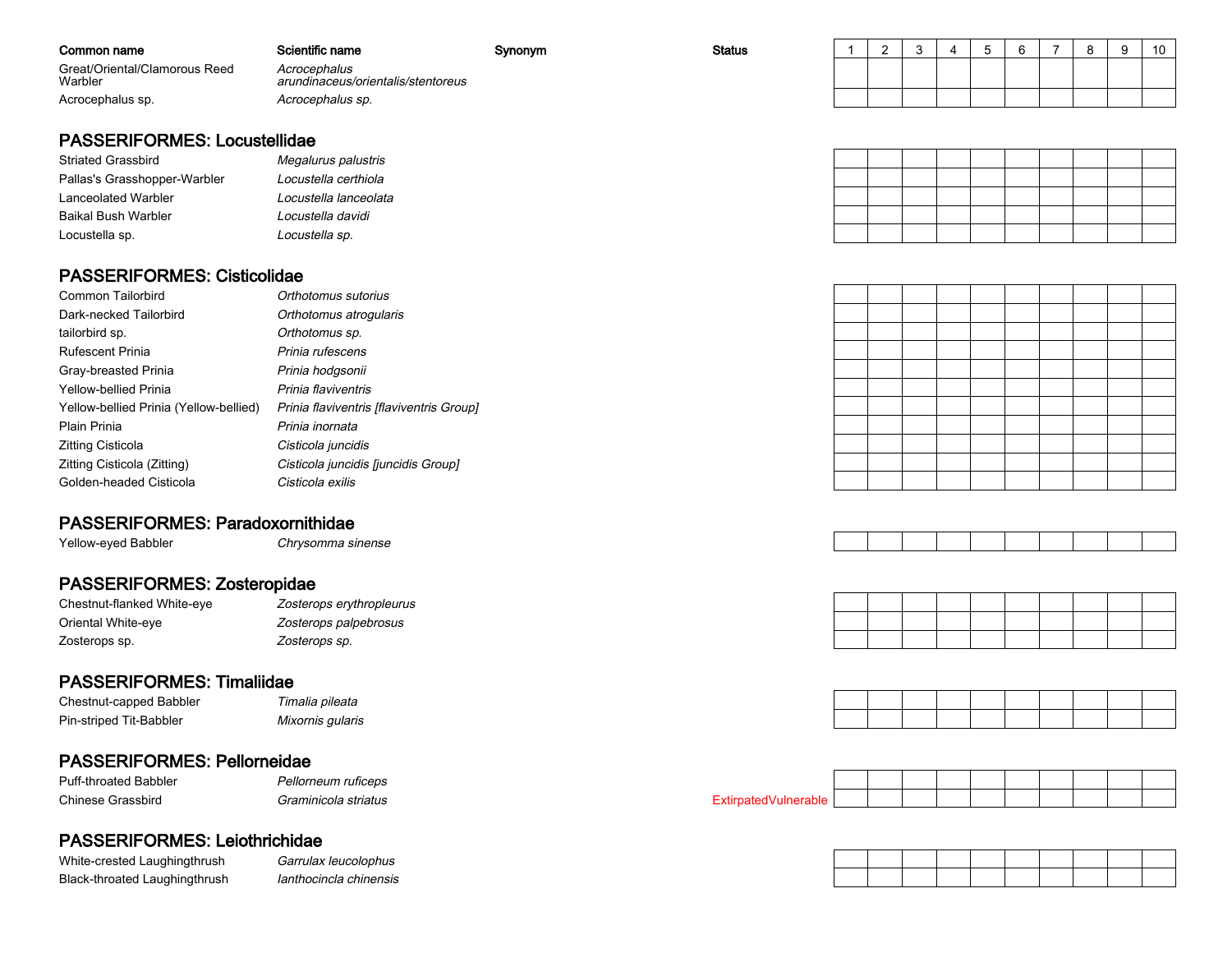| Common name                              | Scientific name                                    | Synonym | <b>Status</b> |  | u | . . | $\sim$ | o<br>$\circ$ | 10 |
|------------------------------------------|----------------------------------------------------|---------|---------------|--|---|-----|--------|--------------|----|
| Great/Oriental/Clamorous Reed<br>Warbler | Acrocephalus<br>arundinaceus/orientalis/stentoreus |         |               |  |   |     |        |              |    |
| Acrocephalus sp.                         | Acrocephalus sp.                                   |         |               |  |   |     |        |              |    |

### PASSERIFORMES: Locustellidae

# Striated Grassbird

| Striated Grassbird           | Megalurus palustris   |
|------------------------------|-----------------------|
| Pallas's Grasshopper-Warbler | Locustella certhiola  |
| Lanceolated Warbler          | Locustella lanceolata |
| Baikal Bush Warbler          | Locustella davidi     |
| Locustella sp.               | Locustella sp.        |

#### PASSERIFORMES: Cisticolidae

| <b>Common Tailorbird</b>               | Orthotomus sutorius                      |
|----------------------------------------|------------------------------------------|
| Dark-necked Tailorbird                 | Orthotomus atrogularis                   |
| tailorbird sp.                         | Orthotomus sp.                           |
| <b>Rufescent Prinia</b>                | Prinia rufescens                         |
| Gray-breasted Prinia                   | Prinia hodgsonii                         |
| <b>Yellow-bellied Prinia</b>           | Prinia flaviventris                      |
| Yellow-bellied Prinia (Yellow-bellied) | Prinia flaviventris [flaviventris Group] |
| Plain Prinia                           | Prinia inornata                          |
| Zitting Cisticola                      | Cisticola juncidis                       |
| Zitting Cisticola (Zitting)            | Cisticola juncidis [juncidis Group]      |
| Golden-headed Cisticola                | Cisticola exilis                         |
|                                        |                                          |

### PASSERIFORMES: Paradoxornithidae

 Chrysomma sinenseYellow-eyed Babbler

### PASSERIFORMES: Zosteropidae

| Chestnut-flanked White-eye | Zosterops erythropleurus |
|----------------------------|--------------------------|
| Oriental White-eye         | Zosterops palpebrosus    |
| Zosterops sp.              | Zosterops sp.            |

### PASSERIFORMES: Timaliidae

| Chestnut-capped Babbler | Timalia pileata  |
|-------------------------|------------------|
| Pin-striped Tit-Babbler | Mixornis gularis |

| i imalia pileata |  |
|------------------|--|
| Mixornis gularis |  |

### PASSERIFORMES: Pellorneidae

| <b>Puff-throated Babbler</b> | Pellorneun |
|------------------------------|------------|
| Chinese Grassbird            | Graminicol |

#### n ruficeps la striatus

### PASSERIFORMES: Leiothrichidae

White-crested LaughingthrushBlack-throated Laughingthrush

h Garrulax leucolophus Ianthocincla chinensis











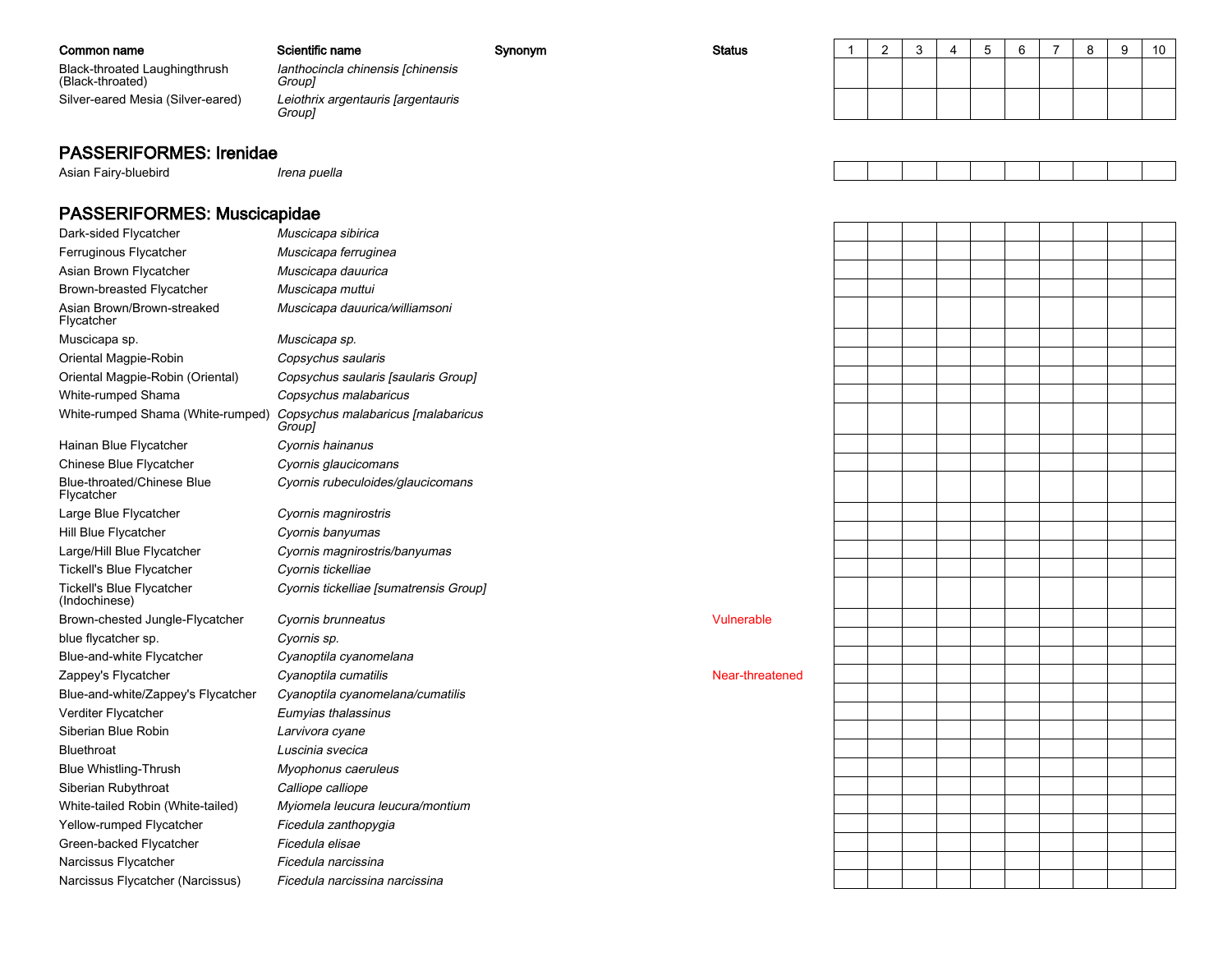| Common name                                       | Scientific name                              | Synonym | <b>Status</b> |  |  |  |  | 10 |
|---------------------------------------------------|----------------------------------------------|---------|---------------|--|--|--|--|----|
| Black-throated Laughingthrush<br>(Black-throated) | lanthocincla chinensis [chinensis<br>Group]  |         |               |  |  |  |  |    |
| Silver-eared Mesia (Silver-eared)                 | Leiothrix argentauris [argentauris<br>Group] |         |               |  |  |  |  |    |
|                                                   |                                              |         |               |  |  |  |  |    |

### PASSERIFORMES: Irenidae

Asian Fairy-bluebird Irena puella PASSERIFORMES: Muscicapidae Muscicapa sibiricaDark-sided Flycatcher

| Ferruginous Flycatcher                     | Muscicapa ferruginea                         |                 |
|--------------------------------------------|----------------------------------------------|-----------------|
| Asian Brown Flycatcher                     | Muscicapa dauurica                           |                 |
| Brown-breasted Flycatcher                  | Muscicapa muttui                             |                 |
| Asian Brown/Brown-streaked<br>Flycatcher   | Muscicapa dauurica/williamsoni               |                 |
| Muscicapa sp.                              | Muscicapa sp.                                |                 |
| Oriental Magpie-Robin                      | Copsychus saularis                           |                 |
| Oriental Magpie-Robin (Oriental)           | Copsychus saularis [saularis Group]          |                 |
| White-rumped Shama                         | Copsychus malabaricus                        |                 |
| White-rumped Shama (White-rumped)          | Copsychus malabaricus [malabaricus<br>Group] |                 |
| Hainan Blue Flycatcher                     | Cyornis hainanus                             |                 |
| Chinese Blue Flycatcher                    | Cyornis glaucicomans                         |                 |
| Blue-throated/Chinese Blue<br>Flycatcher   | Cyornis rubeculoides/glaucicomans            |                 |
| Large Blue Flycatcher                      | Cyornis magnirostris                         |                 |
| Hill Blue Flycatcher                       | Cyornis banyumas                             |                 |
| Large/Hill Blue Flycatcher                 | Cyornis magnirostris/banyumas                |                 |
| <b>Tickell's Blue Flycatcher</b>           | Cyornis tickelliae                           |                 |
| Tickell's Blue Flycatcher<br>(Indochinese) | Cyornis tickelliae [sumatrensis Group]       |                 |
| Brown-chested Jungle-Flycatcher            | Cyornis brunneatus                           | Vulnerable      |
| blue flycatcher sp.                        | Cyornis sp.                                  |                 |
| Blue-and-white Flycatcher                  | Cyanoptila cyanomelana                       |                 |
| Zappey's Flycatcher                        | Cyanoptila cumatilis                         | Near-threatened |
| Blue-and-white/Zappey's Flycatcher         | Cyanoptila cyanomelana/cumatilis             |                 |
| Verditer Flycatcher                        | Eumyias thalassinus                          |                 |
| Siberian Blue Robin                        | Larvivora cyane                              |                 |
| <b>Bluethroat</b>                          | Luscinia svecica                             |                 |
| <b>Blue Whistling-Thrush</b>               | Myophonus caeruleus                          |                 |
| Siberian Rubythroat                        | Calliope calliope                            |                 |
| White-tailed Robin (White-tailed)          | Myiomela leucura leucura/montium             |                 |
| Yellow-rumped Flycatcher                   | Ficedula zanthopygia                         |                 |
| Green-backed Flycatcher                    | Ficedula elisae                              |                 |
| Narcissus Flycatcher                       | Ficedula narcissina                          |                 |
| Narcissus Flycatcher (Narcissus)           | Ficedula narcissina narcissina               |                 |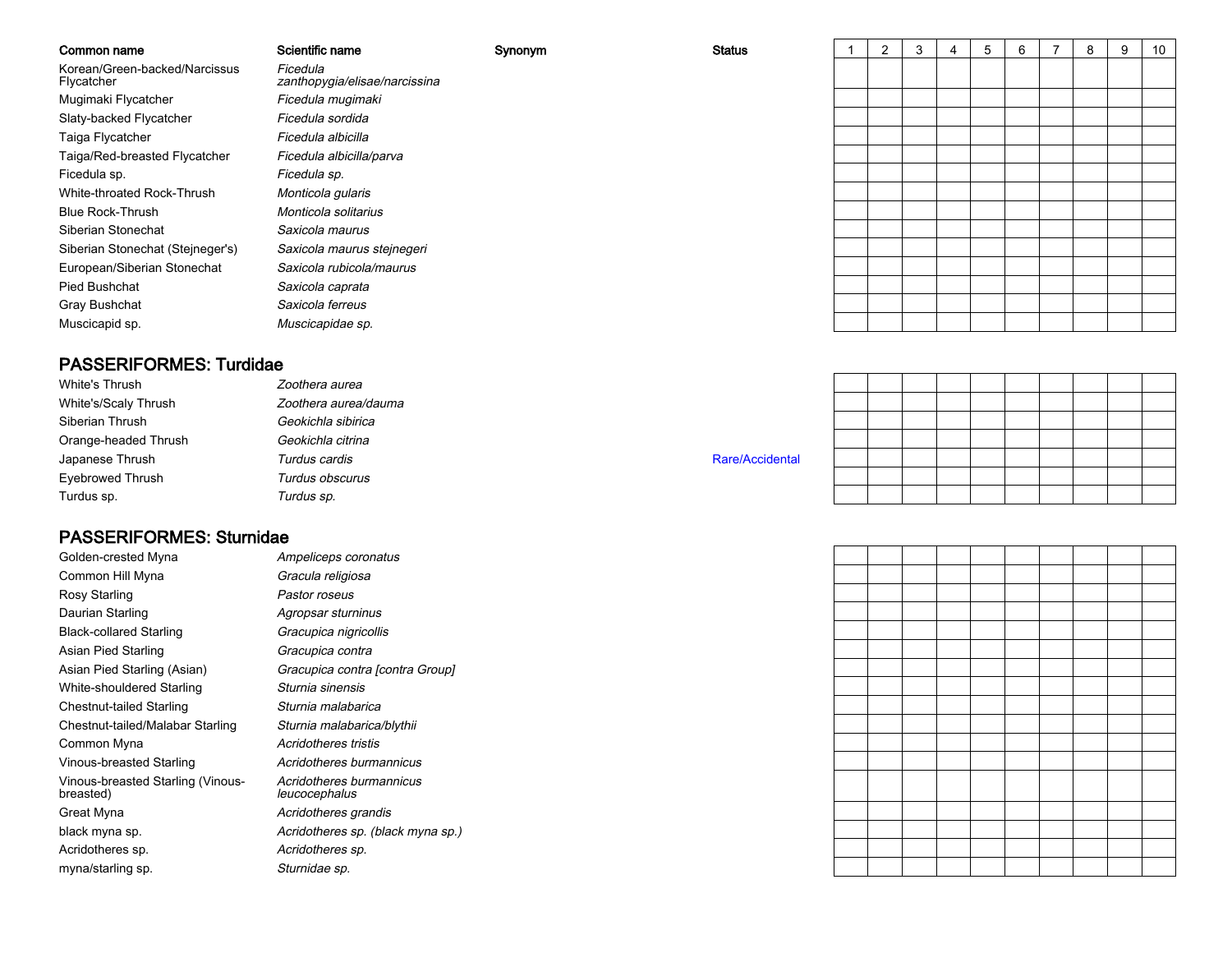| Common name                                 | Scientific name                           | Synonym | <b>Status</b> | 2 | 3 | 5 | 6 | 7 | 8 | 9 | 10 |
|---------------------------------------------|-------------------------------------------|---------|---------------|---|---|---|---|---|---|---|----|
| Korean/Green-backed/Narcissus<br>Flycatcher | Ficedula<br>zanthopygia/elisae/narcissina |         |               |   |   |   |   |   |   |   |    |
| Mugimaki Flycatcher                         | Ficedula mugimaki                         |         |               |   |   |   |   |   |   |   |    |
| Slaty-backed Flycatcher                     | Ficedula sordida                          |         |               |   |   |   |   |   |   |   |    |
| Taiga Flycatcher                            | Ficedula albicilla                        |         |               |   |   |   |   |   |   |   |    |
| Taiga/Red-breasted Flycatcher               | Ficedula albicilla/parva                  |         |               |   |   |   |   |   |   |   |    |
| Ficedula sp.                                | Ficedula sp.                              |         |               |   |   |   |   |   |   |   |    |
| White-throated Rock-Thrush                  | Monticola gularis                         |         |               |   |   |   |   |   |   |   |    |
| <b>Blue Rock-Thrush</b>                     | Monticola solitarius                      |         |               |   |   |   |   |   |   |   |    |
| Siberian Stonechat                          | Saxicola maurus                           |         |               |   |   |   |   |   |   |   |    |
| Siberian Stonechat (Stejneger's)            | Saxicola maurus stejnegeri                |         |               |   |   |   |   |   |   |   |    |
| European/Siberian Stonechat                 | Saxicola rubicola/maurus                  |         |               |   |   |   |   |   |   |   |    |
| Pied Bushchat                               | Saxicola caprata                          |         |               |   |   |   |   |   |   |   |    |
| Gray Bushchat                               | Saxicola ferreus                          |         |               |   |   |   |   |   |   |   |    |
| Muscicapid sp.                              | Muscicapidae sp.                          |         |               |   |   |   |   |   |   |   |    |

### PASSERIFORMES: Turdidae

| White's Thrush       | Zoothera aurea       |                 |  |  |
|----------------------|----------------------|-----------------|--|--|
| White's/Scaly Thrush | Zoothera aurea/dauma |                 |  |  |
| Siberian Thrush      | Geokichla sibirica   |                 |  |  |
| Orange-headed Thrush | Geokichla citrina    |                 |  |  |
| Japanese Thrush      | Turdus cardis        | Rare/Accidental |  |  |
| Eyebrowed Thrush     | Turdus obscurus      |                 |  |  |
| Turdus sp.           | Turdus sp.           |                 |  |  |

### PASSERIFORMES: Sturnidae

| Golden-crested Myna                            | Ampeliceps coronatu                  |
|------------------------------------------------|--------------------------------------|
| Common Hill Myna                               | Gracula religiosa                    |
| Rosy Starling                                  | Pastor roseus                        |
| Daurian Starling                               | Agropsar sturninus                   |
| <b>Black-collared Starling</b>                 | Gracupica nigricollis                |
| Asian Pied Starling                            | Gracupica contra                     |
| Asian Pied Starling (Asian)                    | Gracupica contra [co                 |
| White-shouldered Starling                      | Sturnia sinensis                     |
| Chestnut-tailed Starling                       | Sturnia malabarica                   |
| Chestnut-tailed/Malabar Starling               | Sturnia malabarica/b                 |
| Common Myna                                    | Acridotheres tristis                 |
| Vinous-breasted Starling                       | Acridotheres burman                  |
| Vinous-breasted Starling (Vinous-<br>breasted) | Acridotheres burman<br>leucocephalus |
| Great Myna                                     | Acridotheres grandis                 |
| black myna sp.                                 | Acridotheres sp. (bla                |
| Acridotheres sp.                               | Acridotheres sp.                     |
| myna/starling sp.                              | Sturnidae sp.                        |

 Ampeliceps coronatus Gracula religiosa Pastor roseus Agropsar sturninus Gracupica nigricollis Gracupica contra Gracupica contra [contra Group] Sturnia sinensis Sturnia malabarica Sturnia malabarica/blythii Acridotheres tristis Acridotheres burmannicus Acridotheres burmannicus leucocephalus Acridotheres sp. (black myna sp.) Acridotheres sp. Sturnidae sp.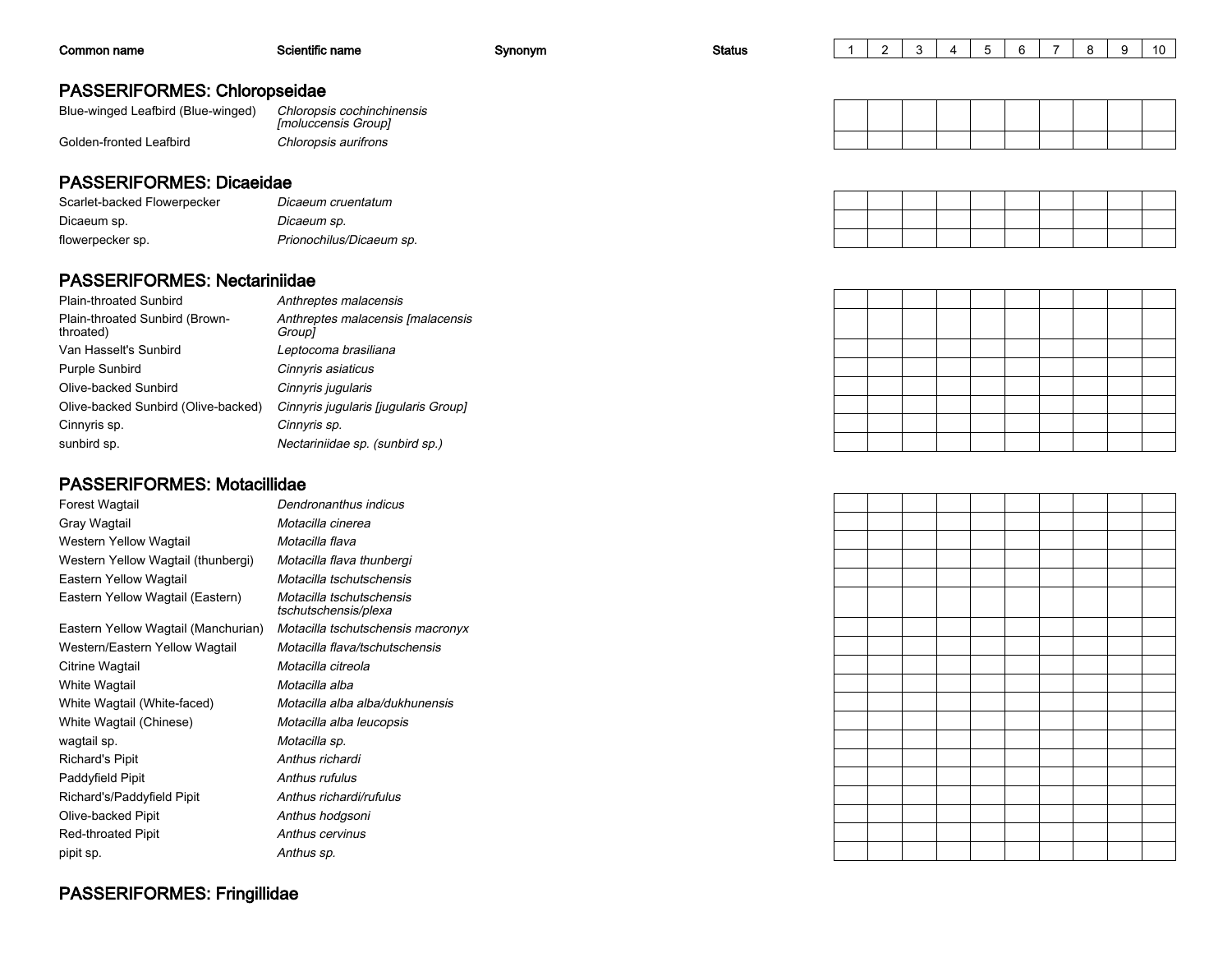| Common name                                                               | Scientific name                             | Synonym | <b>Status</b> |  |  |  | 8 | 9 | 10 |
|---------------------------------------------------------------------------|---------------------------------------------|---------|---------------|--|--|--|---|---|----|
| <b>PASSERIFORMES: Chloropseidae</b><br>Blue-winged Leafbird (Blue-winged) | Chloropsis cochinchinensis                  |         |               |  |  |  |   |   |    |
| Golden-fronted Leafbird                                                   | [moluccensis Group]<br>Chloropsis aurifrons |         |               |  |  |  |   |   |    |

### PASSERIFORMES: Dicaeidae

| Scarlet-backed Flowerpecker | Dicaeum cruentatum       |
|-----------------------------|--------------------------|
| Dicaeum sp.                 | Dicaeum sp.              |
| flowerpecker sp.            | Prionochilus/Dicaeum sp. |

### PASSERIFORMES: Nectariniidae

| Plain-throated Sunbird                      | Anthreptes malacensis                              |
|---------------------------------------------|----------------------------------------------------|
| Plain-throated Sunbird (Brown-<br>throated) | Anthreptes malacensis [malacensis<br><i>Group1</i> |
| Van Hasselt's Sunbird                       | Leptocoma brasiliana                               |
| <b>Purple Sunbird</b>                       | Cinnyris asiaticus                                 |
| Olive-backed Sunbird                        | Cinnyris jugularis                                 |
| Olive-backed Sunbird (Olive-backed)         | Cinnyris jugularis [jugularis Group]               |
| Cinnyris sp.                                | Cinnyris sp.                                       |
| sunbird sp.                                 | Nectariniidae sp. (sunbird sp.)                    |
|                                             |                                                    |

### PASSERIFORMES: Motacillidae

| Forest Wagtail                      | Dendronanthus indicus                            |
|-------------------------------------|--------------------------------------------------|
| Gray Wagtail                        | Motacilla cinerea                                |
| Western Yellow Wagtail              | Motacilla flava                                  |
| Western Yellow Wagtail (thunbergi)  | Motacilla flava thunbergi                        |
| Eastern Yellow Wagtail              | Motacilla tschutschensis                         |
| Eastern Yellow Wagtail (Eastern)    | Motacilla tschutschensis<br>tschutschensis/plexa |
| Eastern Yellow Wagtail (Manchurian) | Motacilla tschutschensis macronyx                |
| Western/Eastern Yellow Wagtail      | Motacilla flava/tschutschensis                   |
| Citrine Wagtail                     | Motacilla citreola                               |
| White Wagtail                       | Motacilla alba                                   |
| White Wagtail (White-faced)         | Motacilla alba alba/dukhunensis                  |
| White Wagtail (Chinese)             | Motacilla alba leucopsis                         |
| wagtail sp.                         | Motacilla sp.                                    |
| <b>Richard's Pipit</b>              | Anthus richardi                                  |
| Paddyfield Pipit                    | Anthus rufulus                                   |
| Richard's/Paddyfield Pipit          | Anthus richardi/rufulus                          |
| Olive-backed Pipit                  | Anthus hodgsoni                                  |
| <b>Red-throated Pipit</b>           | Anthus cervinus                                  |
| pipit sp.                           | Anthus sp.                                       |

## PASSERIFORMES: Fringillidae